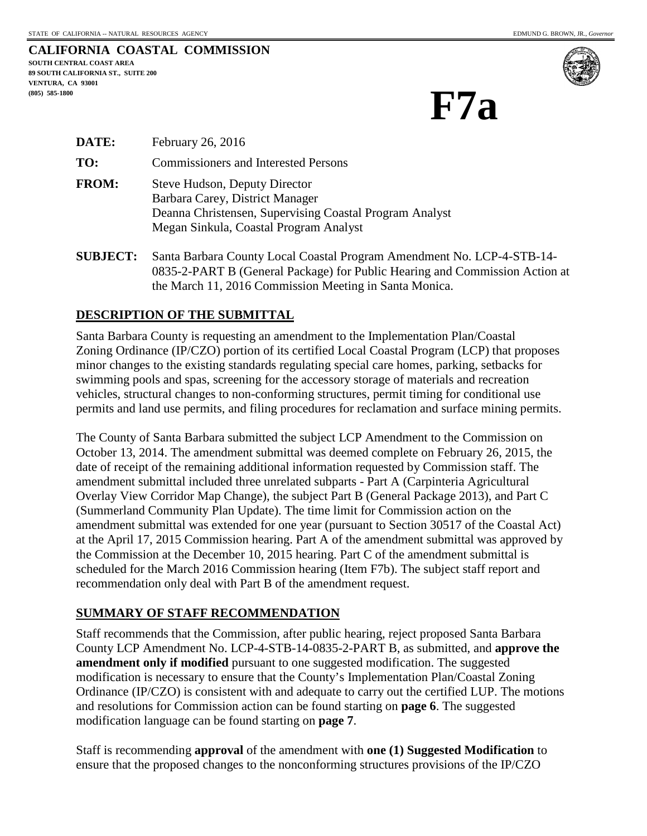| CALIFORNIA COASTAL COMMISSION             |  |
|-------------------------------------------|--|
| SOUTH CENTRAL COAST AREA                  |  |
| <b>89 SOUTH CALIFORNIA ST., SUITE 200</b> |  |
| VENTURA. CA 93001                         |  |
| $(805)$ 585-1800                          |  |



**F7a**

| <b>DATE:</b> | February 26, 2016                                                                                                                                                            |
|--------------|------------------------------------------------------------------------------------------------------------------------------------------------------------------------------|
| TO:          | <b>Commissioners and Interested Persons</b>                                                                                                                                  |
| <b>FROM:</b> | <b>Steve Hudson, Deputy Director</b><br>Barbara Carey, District Manager<br>Deanna Christensen, Supervising Coastal Program Analyst<br>Megan Sinkula, Coastal Program Analyst |

**SUBJECT:** Santa Barbara County Local Coastal Program Amendment No. LCP-4-STB-14- 0835-2-PART B (General Package) for Public Hearing and Commission Action at the March 11, 2016 Commission Meeting in Santa Monica.

## **DESCRIPTION OF THE SUBMITTAL**

Santa Barbara County is requesting an amendment to the Implementation Plan/Coastal Zoning Ordinance (IP/CZO) portion of its certified Local Coastal Program (LCP) that proposes minor changes to the existing standards regulating special care homes, parking, setbacks for swimming pools and spas, screening for the accessory storage of materials and recreation vehicles, structural changes to non-conforming structures, permit timing for conditional use permits and land use permits, and filing procedures for reclamation and surface mining permits.

The County of Santa Barbara submitted the subject LCP Amendment to the Commission on October 13, 2014. The amendment submittal was deemed complete on February 26, 2015, the date of receipt of the remaining additional information requested by Commission staff. The amendment submittal included three unrelated subparts - Part A (Carpinteria Agricultural Overlay View Corridor Map Change), the subject Part B (General Package 2013), and Part C (Summerland Community Plan Update). The time limit for Commission action on the amendment submittal was extended for one year (pursuant to Section 30517 of the Coastal Act) at the April 17, 2015 Commission hearing. Part A of the amendment submittal was approved by the Commission at the December 10, 2015 hearing. Part C of the amendment submittal is scheduled for the March 2016 Commission hearing (Item F7b). The subject staff report and recommendation only deal with Part B of the amendment request.

## **SUMMARY OF STAFF RECOMMENDATION**

Staff recommends that the Commission, after public hearing, reject proposed Santa Barbara County LCP Amendment No. LCP-4-STB-14-0835-2-PART B, as submitted, and **approve the amendment only if modified** pursuant to one suggested modification. The suggested modification is necessary to ensure that the County's Implementation Plan/Coastal Zoning Ordinance (IP/CZO) is consistent with and adequate to carry out the certified LUP. The motions and resolutions for Commission action can be found starting on **page 6**. The suggested modification language can be found starting on **page 7**.

Staff is recommending **approval** of the amendment with **one (1) Suggested Modification** to ensure that the proposed changes to the nonconforming structures provisions of the IP/CZO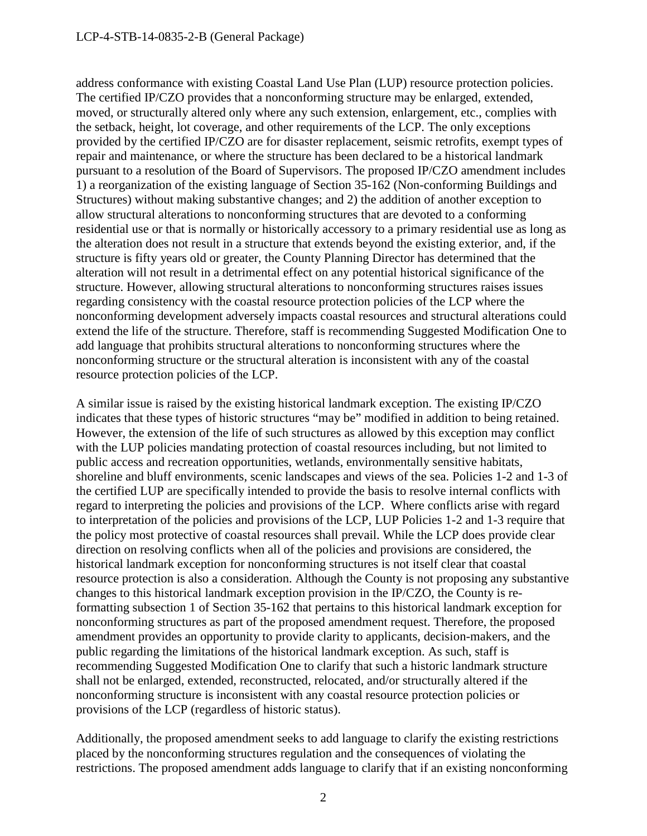address conformance with existing Coastal Land Use Plan (LUP) resource protection policies. The certified IP/CZO provides that a nonconforming structure may be enlarged, extended, moved, or structurally altered only where any such extension, enlargement, etc., complies with the setback, height, lot coverage, and other requirements of the LCP. The only exceptions provided by the certified IP/CZO are for disaster replacement, seismic retrofits, exempt types of repair and maintenance, or where the structure has been declared to be a historical landmark pursuant to a resolution of the Board of Supervisors. The proposed IP/CZO amendment includes 1) a reorganization of the existing language of Section 35-162 (Non-conforming Buildings and Structures) without making substantive changes; and 2) the addition of another exception to allow structural alterations to nonconforming structures that are devoted to a conforming residential use or that is normally or historically accessory to a primary residential use as long as the alteration does not result in a structure that extends beyond the existing exterior, and, if the structure is fifty years old or greater, the County Planning Director has determined that the alteration will not result in a detrimental effect on any potential historical significance of the structure. However, allowing structural alterations to nonconforming structures raises issues regarding consistency with the coastal resource protection policies of the LCP where the nonconforming development adversely impacts coastal resources and structural alterations could extend the life of the structure. Therefore, staff is recommending Suggested Modification One to add language that prohibits structural alterations to nonconforming structures where the nonconforming structure or the structural alteration is inconsistent with any of the coastal resource protection policies of the LCP.

A similar issue is raised by the existing historical landmark exception. The existing IP/CZO indicates that these types of historic structures "may be" modified in addition to being retained. However, the extension of the life of such structures as allowed by this exception may conflict with the LUP policies mandating protection of coastal resources including, but not limited to public access and recreation opportunities, wetlands, environmentally sensitive habitats, shoreline and bluff environments, scenic landscapes and views of the sea. Policies 1-2 and 1-3 of the certified LUP are specifically intended to provide the basis to resolve internal conflicts with regard to interpreting the policies and provisions of the LCP. Where conflicts arise with regard to interpretation of the policies and provisions of the LCP, LUP Policies 1-2 and 1-3 require that the policy most protective of coastal resources shall prevail. While the LCP does provide clear direction on resolving conflicts when all of the policies and provisions are considered, the historical landmark exception for nonconforming structures is not itself clear that coastal resource protection is also a consideration. Although the County is not proposing any substantive changes to this historical landmark exception provision in the IP/CZO, the County is reformatting subsection 1 of Section 35-162 that pertains to this historical landmark exception for nonconforming structures as part of the proposed amendment request. Therefore, the proposed amendment provides an opportunity to provide clarity to applicants, decision-makers, and the public regarding the limitations of the historical landmark exception. As such, staff is recommending Suggested Modification One to clarify that such a historic landmark structure shall not be enlarged, extended, reconstructed, relocated, and/or structurally altered if the nonconforming structure is inconsistent with any coastal resource protection policies or provisions of the LCP (regardless of historic status).

Additionally, the proposed amendment seeks to add language to clarify the existing restrictions placed by the nonconforming structures regulation and the consequences of violating the restrictions. The proposed amendment adds language to clarify that if an existing nonconforming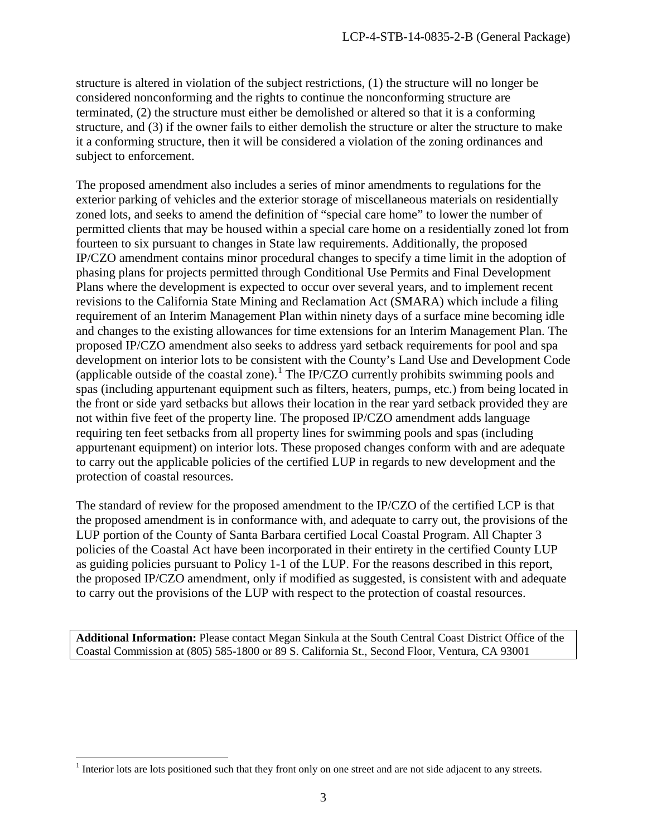structure is altered in violation of the subject restrictions, (1) the structure will no longer be considered nonconforming and the rights to continue the nonconforming structure are terminated, (2) the structure must either be demolished or altered so that it is a conforming structure, and (3) if the owner fails to either demolish the structure or alter the structure to make it a conforming structure, then it will be considered a violation of the zoning ordinances and subject to enforcement.

The proposed amendment also includes a series of minor amendments to regulations for the exterior parking of vehicles and the exterior storage of miscellaneous materials on residentially zoned lots, and seeks to amend the definition of "special care home" to lower the number of permitted clients that may be housed within a special care home on a residentially zoned lot from fourteen to six pursuant to changes in State law requirements. Additionally, the proposed IP/CZO amendment contains minor procedural changes to specify a time limit in the adoption of phasing plans for projects permitted through Conditional Use Permits and Final Development Plans where the development is expected to occur over several years, and to implement recent revisions to the California State Mining and Reclamation Act (SMARA) which include a filing requirement of an Interim Management Plan within ninety days of a surface mine becoming idle and changes to the existing allowances for time extensions for an Interim Management Plan. The proposed IP/CZO amendment also seeks to address yard setback requirements for pool and spa development on interior lots to be consistent with the County's Land Use and Development Code (applicable outside of the coastal zone).<sup>[1](#page-2-0)</sup> The IP/CZO currently prohibits swimming pools and spas (including appurtenant equipment such as filters, heaters, pumps, etc.) from being located in the front or side yard setbacks but allows their location in the rear yard setback provided they are not within five feet of the property line. The proposed IP/CZO amendment adds language requiring ten feet setbacks from all property lines for swimming pools and spas (including appurtenant equipment) on interior lots. These proposed changes conform with and are adequate to carry out the applicable policies of the certified LUP in regards to new development and the protection of coastal resources.

The standard of review for the proposed amendment to the IP/CZO of the certified LCP is that the proposed amendment is in conformance with, and adequate to carry out, the provisions of the LUP portion of the County of Santa Barbara certified Local Coastal Program. All Chapter 3 policies of the Coastal Act have been incorporated in their entirety in the certified County LUP as guiding policies pursuant to Policy 1-1 of the LUP. For the reasons described in this report, the proposed IP/CZO amendment, only if modified as suggested, is consistent with and adequate to carry out the provisions of the LUP with respect to the protection of coastal resources.

**Additional Information:** Please contact Megan Sinkula at the South Central Coast District Office of the Coastal Commission at (805) 585-1800 or 89 S. California St., Second Floor, Ventura, CA 93001

 $\overline{a}$ 

<span id="page-2-0"></span> $<sup>1</sup>$  Interior lots are lots positioned such that they front only on one street and are not side adjacent to any streets.</sup>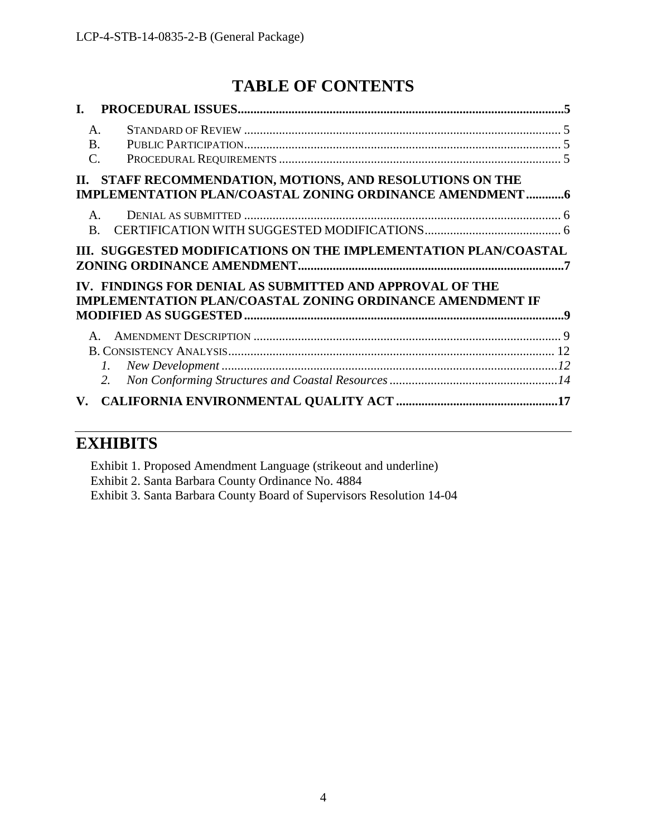# **TABLE OF CONTENTS**

| I.                                |                                                                                                                              |  |
|-----------------------------------|------------------------------------------------------------------------------------------------------------------------------|--|
| $A_{\cdot}$                       |                                                                                                                              |  |
| <b>B.</b>                         |                                                                                                                              |  |
| $\mathcal{C}$ .                   |                                                                                                                              |  |
|                                   | II. STAFF RECOMMENDATION, MOTIONS, AND RESOLUTIONS ON THE<br><b>IMPLEMENTATION PLAN/COASTAL ZONING ORDINANCE AMENDMENT 6</b> |  |
| $\mathsf{A}$                      |                                                                                                                              |  |
| <sub>R</sub>                      |                                                                                                                              |  |
|                                   | III. SUGGESTED MODIFICATIONS ON THE IMPLEMENTATION PLAN/COASTAL                                                              |  |
|                                   | IV. FINDINGS FOR DENIAL AS SUBMITTED AND APPROVAL OF THE<br><b>IMPLEMENTATION PLAN/COASTAL ZONING ORDINANCE AMENDMENT IF</b> |  |
|                                   |                                                                                                                              |  |
|                                   |                                                                                                                              |  |
| 1.                                |                                                                                                                              |  |
| 2.                                |                                                                                                                              |  |
| $\mathbf{V}_{\boldsymbol{\cdot}}$ |                                                                                                                              |  |

## **EXHIBITS**

Exhibit 1. Proposed Amendment Language (strikeout and underline) Exhibit 2. Santa Barbara County Ordinance No. 4884 Exhibit 3. Santa Barbara County Board of Supervisors Resolution 14-04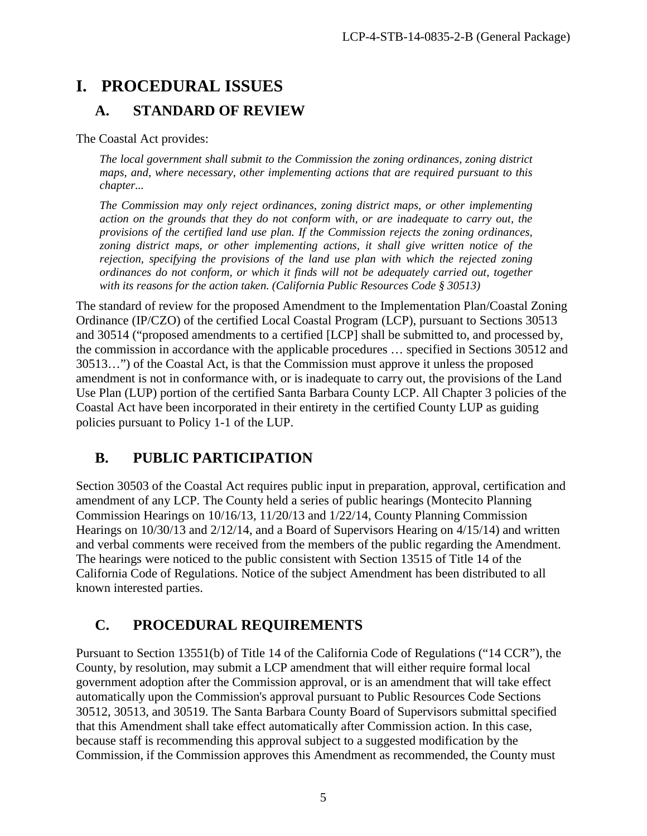# <span id="page-4-0"></span>**I. PROCEDURAL ISSUES**

## <span id="page-4-1"></span>**A. STANDARD OF REVIEW**

The Coastal Act provides:

*The local government shall submit to the Commission the zoning ordinances, zoning district maps, and, where necessary, other implementing actions that are required pursuant to this chapter...* 

*The Commission may only reject ordinances, zoning district maps, or other implementing action on the grounds that they do not conform with, or are inadequate to carry out, the provisions of the certified land use plan. If the Commission rejects the zoning ordinances, zoning district maps, or other implementing actions, it shall give written notice of the rejection, specifying the provisions of the land use plan with which the rejected zoning ordinances do not conform, or which it finds will not be adequately carried out, together with its reasons for the action taken. (California Public Resources Code § 30513)* 

The standard of review for the proposed Amendment to the Implementation Plan/Coastal Zoning Ordinance (IP/CZO) of the certified Local Coastal Program (LCP), pursuant to Sections 30513 and 30514 ("proposed amendments to a certified [LCP] shall be submitted to, and processed by, the commission in accordance with the applicable procedures … specified in Sections 30512 and 30513…") of the Coastal Act, is that the Commission must approve it unless the proposed amendment is not in conformance with, or is inadequate to carry out, the provisions of the Land Use Plan (LUP) portion of the certified Santa Barbara County LCP. All Chapter 3 policies of the Coastal Act have been incorporated in their entirety in the certified County LUP as guiding policies pursuant to Policy 1-1 of the LUP.

# <span id="page-4-2"></span>**B. PUBLIC PARTICIPATION**

Section 30503 of the Coastal Act requires public input in preparation, approval, certification and amendment of any LCP. The County held a series of public hearings (Montecito Planning Commission Hearings on 10/16/13, 11/20/13 and 1/22/14, County Planning Commission Hearings on 10/30/13 and 2/12/14, and a Board of Supervisors Hearing on 4/15/14) and written and verbal comments were received from the members of the public regarding the Amendment. The hearings were noticed to the public consistent with Section 13515 of Title 14 of the California Code of Regulations. Notice of the subject Amendment has been distributed to all known interested parties.

# <span id="page-4-3"></span>**C. PROCEDURAL REQUIREMENTS**

Pursuant to Section 13551(b) of Title 14 of the California Code of Regulations ("14 CCR"), the County, by resolution, may submit a LCP amendment that will either require formal local government adoption after the Commission approval, or is an amendment that will take effect automatically upon the Commission's approval pursuant to Public Resources Code Sections 30512, 30513, and 30519. The Santa Barbara County Board of Supervisors submittal specified that this Amendment shall take effect automatically after Commission action. In this case, because staff is recommending this approval subject to a suggested modification by the Commission, if the Commission approves this Amendment as recommended, the County must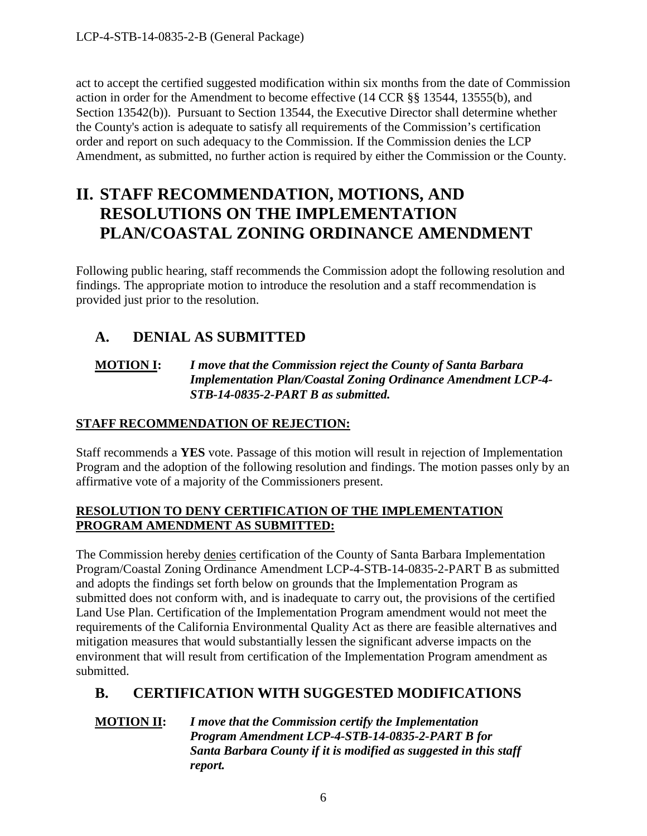LCP-4-STB-14-0835-2-B (General Package)

act to accept the certified suggested modification within six months from the date of Commission action in order for the Amendment to become effective (14 CCR §§ 13544, 13555(b), and Section 13542(b)). Pursuant to Section 13544, the Executive Director shall determine whether the County's action is adequate to satisfy all requirements of the Commission's certification order and report on such adequacy to the Commission. If the Commission denies the LCP Amendment, as submitted, no further action is required by either the Commission or the County.

# <span id="page-5-0"></span>**II. STAFF RECOMMENDATION, MOTIONS, AND RESOLUTIONS ON THE IMPLEMENTATION PLAN/COASTAL ZONING ORDINANCE AMENDMENT**

Following public hearing, staff recommends the Commission adopt the following resolution and findings. The appropriate motion to introduce the resolution and a staff recommendation is provided just prior to the resolution.

## <span id="page-5-1"></span>**A. DENIAL AS SUBMITTED**

## **MOTION I:** *I move that the Commission reject the County of Santa Barbara Implementation Plan/Coastal Zoning Ordinance Amendment LCP-4- STB-14-0835-2-PART B as submitted.*

## **STAFF RECOMMENDATION OF REJECTION:**

Staff recommends a **YES** vote. Passage of this motion will result in rejection of Implementation Program and the adoption of the following resolution and findings. The motion passes only by an affirmative vote of a majority of the Commissioners present.

## **RESOLUTION TO DENY CERTIFICATION OF THE IMPLEMENTATION PROGRAM AMENDMENT AS SUBMITTED:**

The Commission hereby denies certification of the County of Santa Barbara Implementation Program/Coastal Zoning Ordinance Amendment LCP-4-STB-14-0835-2-PART B as submitted and adopts the findings set forth below on grounds that the Implementation Program as submitted does not conform with, and is inadequate to carry out, the provisions of the certified Land Use Plan. Certification of the Implementation Program amendment would not meet the requirements of the California Environmental Quality Act as there are feasible alternatives and mitigation measures that would substantially lessen the significant adverse impacts on the environment that will result from certification of the Implementation Program amendment as submitted.

## <span id="page-5-2"></span>**B. CERTIFICATION WITH SUGGESTED MODIFICATIONS**

**MOTION II:** *I move that the Commission certify the Implementation Program Amendment LCP-4-STB-14-0835-2-PART B for Santa Barbara County if it is modified as suggested in this staff report.*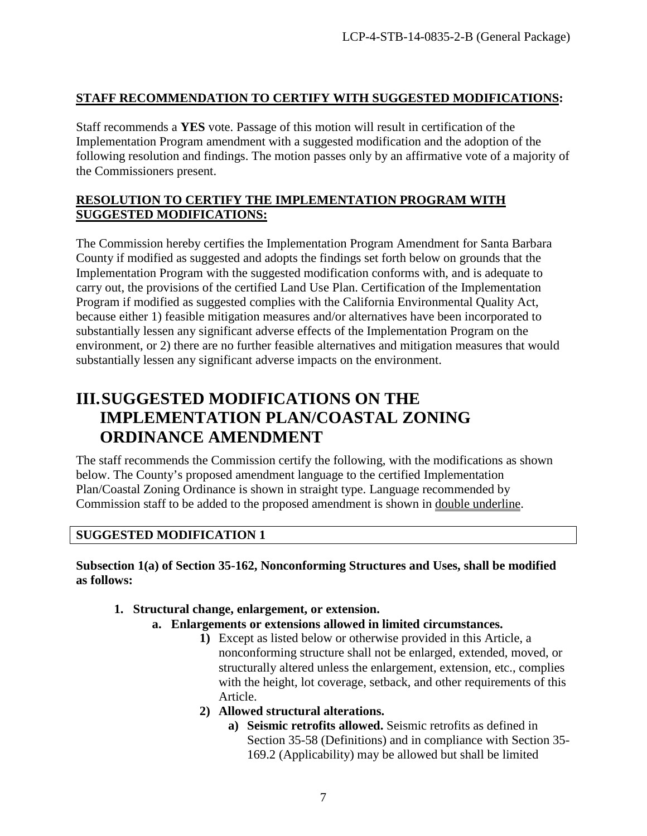## **STAFF RECOMMENDATION TO CERTIFY WITH SUGGESTED MODIFICATIONS:**

Staff recommends a **YES** vote. Passage of this motion will result in certification of the Implementation Program amendment with a suggested modification and the adoption of the following resolution and findings. The motion passes only by an affirmative vote of a majority of the Commissioners present.

## **RESOLUTION TO CERTIFY THE IMPLEMENTATION PROGRAM WITH SUGGESTED MODIFICATIONS:**

The Commission hereby certifies the Implementation Program Amendment for Santa Barbara County if modified as suggested and adopts the findings set forth below on grounds that the Implementation Program with the suggested modification conforms with, and is adequate to carry out, the provisions of the certified Land Use Plan. Certification of the Implementation Program if modified as suggested complies with the California Environmental Quality Act, because either 1) feasible mitigation measures and/or alternatives have been incorporated to substantially lessen any significant adverse effects of the Implementation Program on the environment, or 2) there are no further feasible alternatives and mitigation measures that would substantially lessen any significant adverse impacts on the environment.

# <span id="page-6-0"></span>**III.SUGGESTED MODIFICATIONS ON THE IMPLEMENTATION PLAN/COASTAL ZONING ORDINANCE AMENDMENT**

The staff recommends the Commission certify the following, with the modifications as shown below. The County's proposed amendment language to the certified Implementation Plan/Coastal Zoning Ordinance is shown in straight type. Language recommended by Commission staff to be added to the proposed amendment is shown in double underline.

## **SUGGESTED MODIFICATION 1**

**Subsection 1(a) of Section 35-162, Nonconforming Structures and Uses, shall be modified as follows:** 

- **1. Structural change, enlargement, or extension.**
	- **a. Enlargements or extensions allowed in limited circumstances.** 
		- **1)** Except as listed below or otherwise provided in this Article, a nonconforming structure shall not be enlarged, extended, moved, or structurally altered unless the enlargement, extension, etc., complies with the height, lot coverage, setback, and other requirements of this Article.
		- **2) Allowed structural alterations.**
			- **a) Seismic retrofits allowed.** Seismic retrofits as defined in Section 35-58 (Definitions) and in compliance with Section 35- 169.2 (Applicability) may be allowed but shall be limited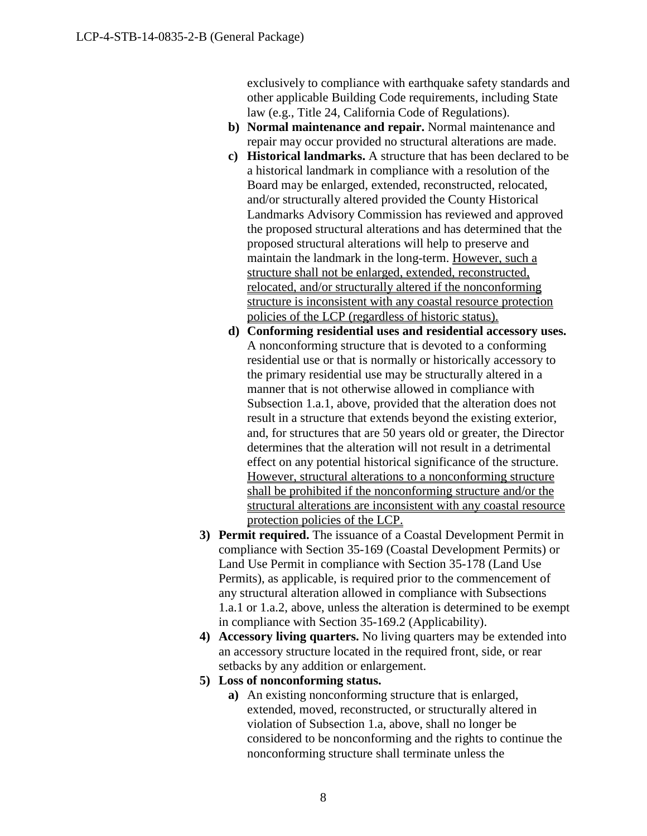exclusively to compliance with earthquake safety standards and other applicable Building Code requirements, including State law (e.g., Title 24, California Code of Regulations).

- **b) Normal maintenance and repair.** Normal maintenance and repair may occur provided no structural alterations are made.
- **c) Historical landmarks.** A structure that has been declared to be a historical landmark in compliance with a resolution of the Board may be enlarged, extended, reconstructed, relocated, and/or structurally altered provided the County Historical Landmarks Advisory Commission has reviewed and approved the proposed structural alterations and has determined that the proposed structural alterations will help to preserve and maintain the landmark in the long-term. However, such a structure shall not be enlarged, extended, reconstructed, relocated, and/or structurally altered if the nonconforming structure is inconsistent with any coastal resource protection policies of the LCP (regardless of historic status).
- **d) Conforming residential uses and residential accessory uses.**  A nonconforming structure that is devoted to a conforming residential use or that is normally or historically accessory to the primary residential use may be structurally altered in a manner that is not otherwise allowed in compliance with Subsection 1.a.1, above, provided that the alteration does not result in a structure that extends beyond the existing exterior, and, for structures that are 50 years old or greater, the Director determines that the alteration will not result in a detrimental effect on any potential historical significance of the structure. However, structural alterations to a nonconforming structure shall be prohibited if the nonconforming structure and/or the structural alterations are inconsistent with any coastal resource protection policies of the LCP.
- **3) Permit required.** The issuance of a Coastal Development Permit in compliance with Section 35-169 (Coastal Development Permits) or Land Use Permit in compliance with Section 35-178 (Land Use Permits), as applicable, is required prior to the commencement of any structural alteration allowed in compliance with Subsections 1.a.1 or 1.a.2, above, unless the alteration is determined to be exempt in compliance with Section 35-169.2 (Applicability).
- **4) Accessory living quarters.** No living quarters may be extended into an accessory structure located in the required front, side, or rear setbacks by any addition or enlargement.
- **5) Loss of nonconforming status.** 
	- **a)** An existing nonconforming structure that is enlarged, extended, moved, reconstructed, or structurally altered in violation of Subsection 1.a, above, shall no longer be considered to be nonconforming and the rights to continue the nonconforming structure shall terminate unless the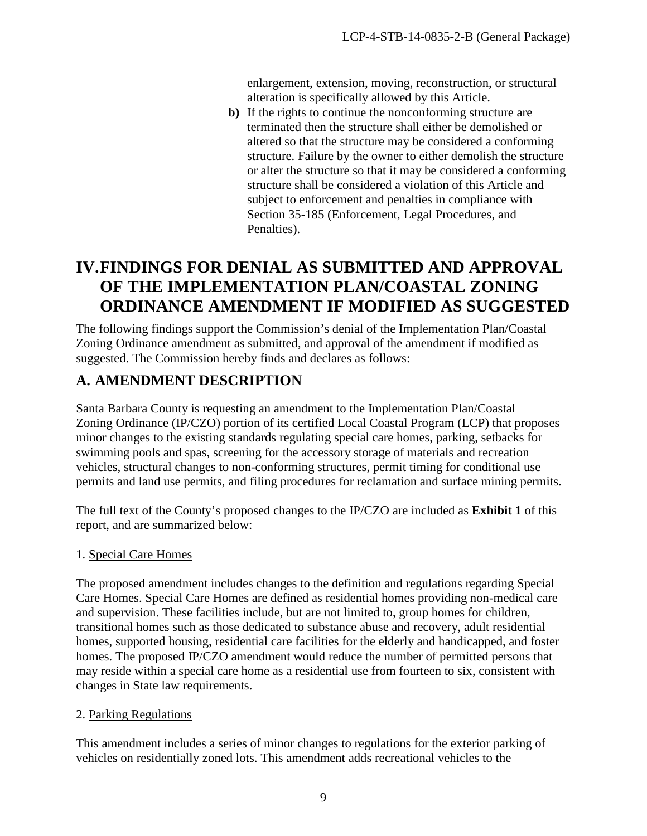enlargement, extension, moving, reconstruction, or structural alteration is specifically allowed by this Article.

**b)** If the rights to continue the nonconforming structure are terminated then the structure shall either be demolished or altered so that the structure may be considered a conforming structure. Failure by the owner to either demolish the structure or alter the structure so that it may be considered a conforming structure shall be considered a violation of this Article and subject to enforcement and penalties in compliance with Section 35-185 (Enforcement, Legal Procedures, and Penalties).

# <span id="page-8-0"></span>**IV.FINDINGS FOR DENIAL AS SUBMITTED AND APPROVAL OF THE IMPLEMENTATION PLAN/COASTAL ZONING ORDINANCE AMENDMENT IF MODIFIED AS SUGGESTED**

The following findings support the Commission's denial of the Implementation Plan/Coastal Zoning Ordinance amendment as submitted, and approval of the amendment if modified as suggested. The Commission hereby finds and declares as follows:

## <span id="page-8-1"></span>**A. AMENDMENT DESCRIPTION**

Santa Barbara County is requesting an amendment to the Implementation Plan/Coastal Zoning Ordinance (IP/CZO) portion of its certified Local Coastal Program (LCP) that proposes minor changes to the existing standards regulating special care homes, parking, setbacks for swimming pools and spas, screening for the accessory storage of materials and recreation vehicles, structural changes to non-conforming structures, permit timing for conditional use permits and land use permits, and filing procedures for reclamation and surface mining permits.

The full text of the County's proposed changes to the IP/CZO are included as **Exhibit 1** of this report, and are summarized below:

## 1. Special Care Homes

The proposed amendment includes changes to the definition and regulations regarding Special Care Homes. Special Care Homes are defined as residential homes providing non-medical care and supervision. These facilities include, but are not limited to, group homes for children, transitional homes such as those dedicated to substance abuse and recovery, adult residential homes, supported housing, residential care facilities for the elderly and handicapped, and foster homes. The proposed IP/CZO amendment would reduce the number of permitted persons that may reside within a special care home as a residential use from fourteen to six, consistent with changes in State law requirements.

## 2. Parking Regulations

This amendment includes a series of minor changes to regulations for the exterior parking of vehicles on residentially zoned lots. This amendment adds recreational vehicles to the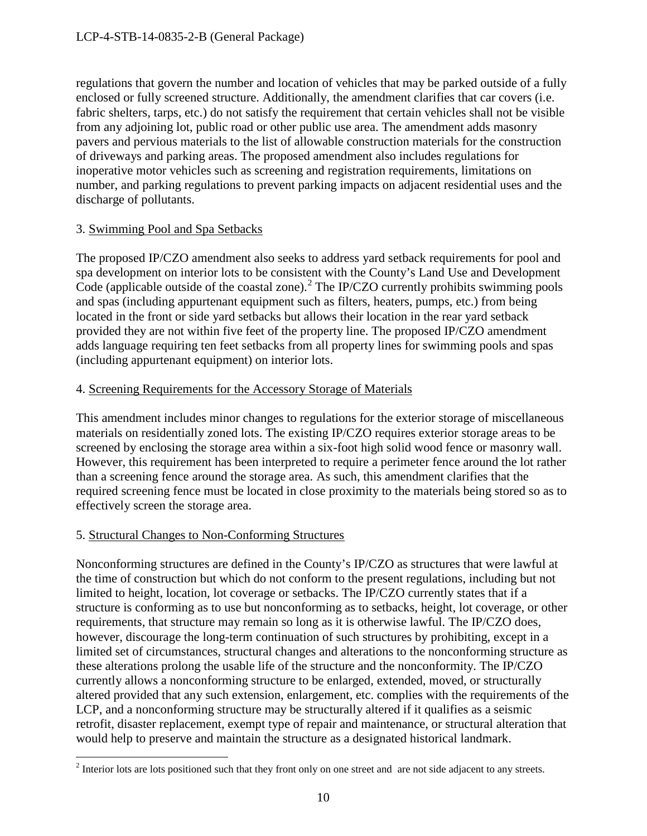regulations that govern the number and location of vehicles that may be parked outside of a fully enclosed or fully screened structure. Additionally, the amendment clarifies that car covers (i.e. fabric shelters, tarps, etc.) do not satisfy the requirement that certain vehicles shall not be visible from any adjoining lot, public road or other public use area. The amendment adds masonry pavers and pervious materials to the list of allowable construction materials for the construction of driveways and parking areas. The proposed amendment also includes regulations for inoperative motor vehicles such as screening and registration requirements, limitations on number, and parking regulations to prevent parking impacts on adjacent residential uses and the discharge of pollutants.

## 3. Swimming Pool and Spa Setbacks

The proposed IP/CZO amendment also seeks to address yard setback requirements for pool and spa development on interior lots to be consistent with the County's Land Use and Development Code (applicable outside of the coastal zone).<sup>[2](#page-9-0)</sup> The IP/CZO currently prohibits swimming pools and spas (including appurtenant equipment such as filters, heaters, pumps, etc.) from being located in the front or side yard setbacks but allows their location in the rear yard setback provided they are not within five feet of the property line. The proposed IP/CZO amendment adds language requiring ten feet setbacks from all property lines for swimming pools and spas (including appurtenant equipment) on interior lots.

## 4. Screening Requirements for the Accessory Storage of Materials

This amendment includes minor changes to regulations for the exterior storage of miscellaneous materials on residentially zoned lots. The existing IP/CZO requires exterior storage areas to be screened by enclosing the storage area within a six-foot high solid wood fence or masonry wall. However, this requirement has been interpreted to require a perimeter fence around the lot rather than a screening fence around the storage area. As such, this amendment clarifies that the required screening fence must be located in close proximity to the materials being stored so as to effectively screen the storage area.

## 5. Structural Changes to Non-Conforming Structures

Nonconforming structures are defined in the County's IP/CZO as structures that were lawful at the time of construction but which do not conform to the present regulations, including but not limited to height, location, lot coverage or setbacks. The IP/CZO currently states that if a structure is conforming as to use but nonconforming as to setbacks, height, lot coverage, or other requirements, that structure may remain so long as it is otherwise lawful. The IP/CZO does, however, discourage the long-term continuation of such structures by prohibiting, except in a limited set of circumstances, structural changes and alterations to the nonconforming structure as these alterations prolong the usable life of the structure and the nonconformity. The IP/CZO currently allows a nonconforming structure to be enlarged, extended, moved, or structurally altered provided that any such extension, enlargement, etc. complies with the requirements of the LCP, and a nonconforming structure may be structurally altered if it qualifies as a seismic retrofit, disaster replacement, exempt type of repair and maintenance, or structural alteration that would help to preserve and maintain the structure as a designated historical landmark.

<span id="page-9-0"></span> $\overline{a}$ <sup>2</sup> Interior lots are lots positioned such that they front only on one street and are not side adjacent to any streets.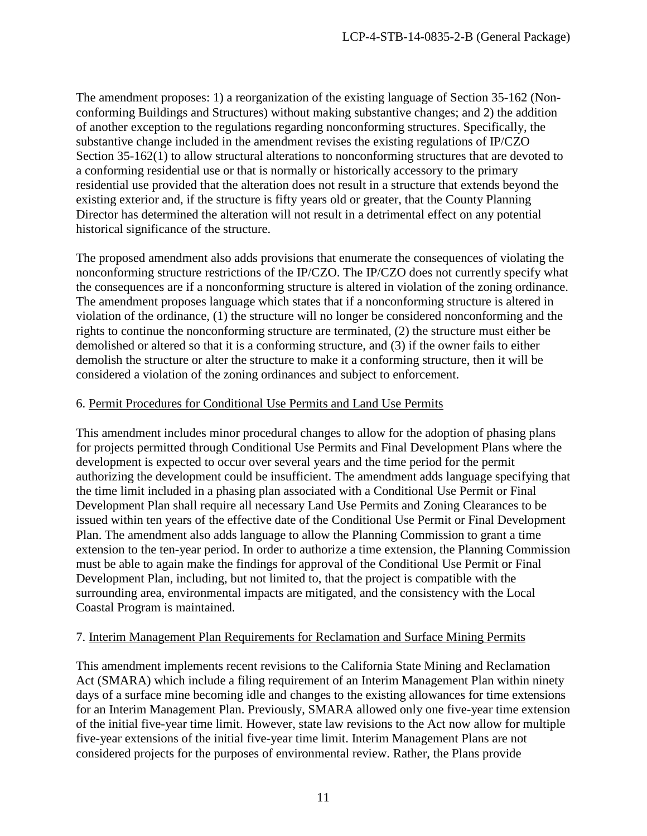The amendment proposes: 1) a reorganization of the existing language of Section 35-162 (Nonconforming Buildings and Structures) without making substantive changes; and 2) the addition of another exception to the regulations regarding nonconforming structures. Specifically, the substantive change included in the amendment revises the existing regulations of IP/CZO Section 35-162(1) to allow structural alterations to nonconforming structures that are devoted to a conforming residential use or that is normally or historically accessory to the primary residential use provided that the alteration does not result in a structure that extends beyond the existing exterior and, if the structure is fifty years old or greater, that the County Planning Director has determined the alteration will not result in a detrimental effect on any potential historical significance of the structure.

The proposed amendment also adds provisions that enumerate the consequences of violating the nonconforming structure restrictions of the IP/CZO. The IP/CZO does not currently specify what the consequences are if a nonconforming structure is altered in violation of the zoning ordinance. The amendment proposes language which states that if a nonconforming structure is altered in violation of the ordinance, (1) the structure will no longer be considered nonconforming and the rights to continue the nonconforming structure are terminated, (2) the structure must either be demolished or altered so that it is a conforming structure, and (3) if the owner fails to either demolish the structure or alter the structure to make it a conforming structure, then it will be considered a violation of the zoning ordinances and subject to enforcement.

## 6. Permit Procedures for Conditional Use Permits and Land Use Permits

This amendment includes minor procedural changes to allow for the adoption of phasing plans for projects permitted through Conditional Use Permits and Final Development Plans where the development is expected to occur over several years and the time period for the permit authorizing the development could be insufficient. The amendment adds language specifying that the time limit included in a phasing plan associated with a Conditional Use Permit or Final Development Plan shall require all necessary Land Use Permits and Zoning Clearances to be issued within ten years of the effective date of the Conditional Use Permit or Final Development Plan. The amendment also adds language to allow the Planning Commission to grant a time extension to the ten-year period. In order to authorize a time extension, the Planning Commission must be able to again make the findings for approval of the Conditional Use Permit or Final Development Plan, including, but not limited to, that the project is compatible with the surrounding area, environmental impacts are mitigated, and the consistency with the Local Coastal Program is maintained.

## 7. Interim Management Plan Requirements for Reclamation and Surface Mining Permits

This amendment implements recent revisions to the California State Mining and Reclamation Act (SMARA) which include a filing requirement of an Interim Management Plan within ninety days of a surface mine becoming idle and changes to the existing allowances for time extensions for an Interim Management Plan. Previously, SMARA allowed only one five-year time extension of the initial five-year time limit. However, state law revisions to the Act now allow for multiple five-year extensions of the initial five-year time limit. Interim Management Plans are not considered projects for the purposes of environmental review. Rather, the Plans provide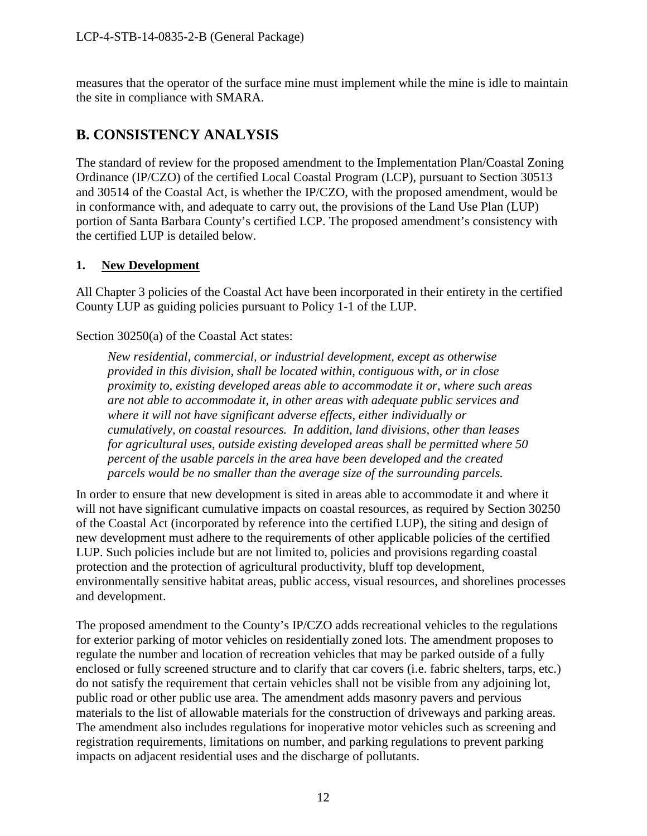measures that the operator of the surface mine must implement while the mine is idle to maintain the site in compliance with SMARA.

## <span id="page-11-0"></span>**B. CONSISTENCY ANALYSIS**

The standard of review for the proposed amendment to the Implementation Plan/Coastal Zoning Ordinance (IP/CZO) of the certified Local Coastal Program (LCP), pursuant to Section 30513 and 30514 of the Coastal Act, is whether the IP/CZO, with the proposed amendment, would be in conformance with, and adequate to carry out, the provisions of the Land Use Plan (LUP) portion of Santa Barbara County's certified LCP. The proposed amendment's consistency with the certified LUP is detailed below.

## <span id="page-11-1"></span>**1. New Development**

All Chapter 3 policies of the Coastal Act have been incorporated in their entirety in the certified County LUP as guiding policies pursuant to Policy 1-1 of the LUP.

Section 30250(a) of the Coastal Act states:

*New residential, commercial, or industrial development, except as otherwise provided in this division, shall be located within, contiguous with, or in close proximity to, existing developed areas able to accommodate it or, where such areas are not able to accommodate it, in other areas with adequate public services and where it will not have significant adverse effects, either individually or cumulatively, on coastal resources. In addition, land divisions, other than leases for agricultural uses, outside existing developed areas shall be permitted where 50 percent of the usable parcels in the area have been developed and the created parcels would be no smaller than the average size of the surrounding parcels.* 

In order to ensure that new development is sited in areas able to accommodate it and where it will not have significant cumulative impacts on coastal resources, as required by Section 30250 of the Coastal Act (incorporated by reference into the certified LUP), the siting and design of new development must adhere to the requirements of other applicable policies of the certified LUP. Such policies include but are not limited to, policies and provisions regarding coastal protection and the protection of agricultural productivity, bluff top development, environmentally sensitive habitat areas, public access, visual resources, and shorelines processes and development.

The proposed amendment to the County's IP/CZO adds recreational vehicles to the regulations for exterior parking of motor vehicles on residentially zoned lots. The amendment proposes to regulate the number and location of recreation vehicles that may be parked outside of a fully enclosed or fully screened structure and to clarify that car covers (i.e. fabric shelters, tarps, etc.) do not satisfy the requirement that certain vehicles shall not be visible from any adjoining lot, public road or other public use area. The amendment adds masonry pavers and pervious materials to the list of allowable materials for the construction of driveways and parking areas. The amendment also includes regulations for inoperative motor vehicles such as screening and registration requirements, limitations on number, and parking regulations to prevent parking impacts on adjacent residential uses and the discharge of pollutants.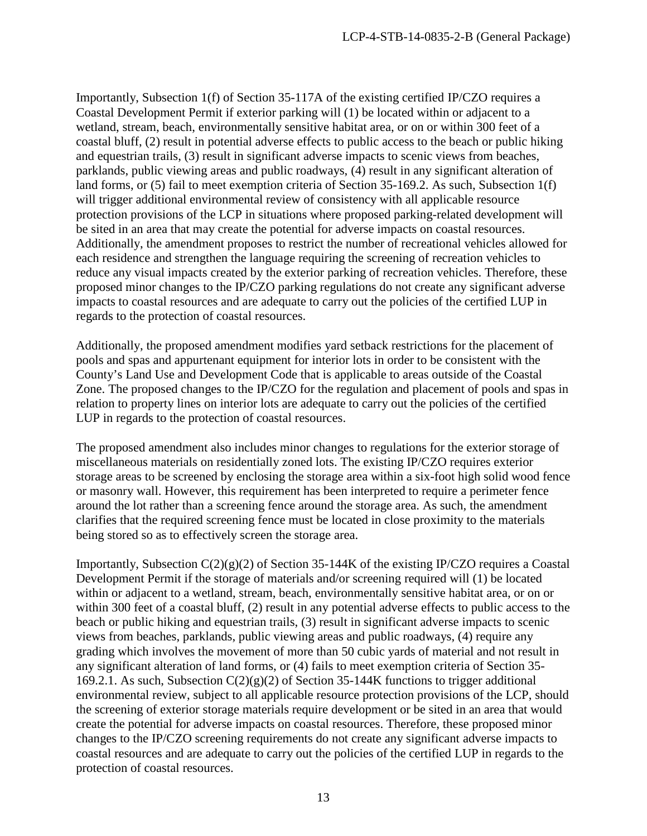Importantly, Subsection 1(f) of Section 35-117A of the existing certified IP/CZO requires a Coastal Development Permit if exterior parking will (1) be located within or adjacent to a wetland, stream, beach, environmentally sensitive habitat area, or on or within 300 feet of a coastal bluff, (2) result in potential adverse effects to public access to the beach or public hiking and equestrian trails, (3) result in significant adverse impacts to scenic views from beaches, parklands, public viewing areas and public roadways, (4) result in any significant alteration of land forms, or (5) fail to meet exemption criteria of Section 35-169.2. As such, Subsection 1(f) will trigger additional environmental review of consistency with all applicable resource protection provisions of the LCP in situations where proposed parking-related development will be sited in an area that may create the potential for adverse impacts on coastal resources. Additionally, the amendment proposes to restrict the number of recreational vehicles allowed for each residence and strengthen the language requiring the screening of recreation vehicles to reduce any visual impacts created by the exterior parking of recreation vehicles. Therefore, these proposed minor changes to the IP/CZO parking regulations do not create any significant adverse impacts to coastal resources and are adequate to carry out the policies of the certified LUP in regards to the protection of coastal resources.

Additionally, the proposed amendment modifies yard setback restrictions for the placement of pools and spas and appurtenant equipment for interior lots in order to be consistent with the County's Land Use and Development Code that is applicable to areas outside of the Coastal Zone. The proposed changes to the IP/CZO for the regulation and placement of pools and spas in relation to property lines on interior lots are adequate to carry out the policies of the certified LUP in regards to the protection of coastal resources.

The proposed amendment also includes minor changes to regulations for the exterior storage of miscellaneous materials on residentially zoned lots. The existing IP/CZO requires exterior storage areas to be screened by enclosing the storage area within a six-foot high solid wood fence or masonry wall. However, this requirement has been interpreted to require a perimeter fence around the lot rather than a screening fence around the storage area. As such, the amendment clarifies that the required screening fence must be located in close proximity to the materials being stored so as to effectively screen the storage area.

Importantly, Subsection C(2)(g)(2) of Section 35-144K of the existing IP/CZO requires a Coastal Development Permit if the storage of materials and/or screening required will (1) be located within or adjacent to a wetland, stream, beach, environmentally sensitive habitat area, or on or within 300 feet of a coastal bluff, (2) result in any potential adverse effects to public access to the beach or public hiking and equestrian trails, (3) result in significant adverse impacts to scenic views from beaches, parklands, public viewing areas and public roadways, (4) require any grading which involves the movement of more than 50 cubic yards of material and not result in any significant alteration of land forms, or (4) fails to meet exemption criteria of Section 35- 169.2.1. As such, Subsection  $C(2)(g)(2)$  of Section 35-144K functions to trigger additional environmental review, subject to all applicable resource protection provisions of the LCP, should the screening of exterior storage materials require development or be sited in an area that would create the potential for adverse impacts on coastal resources. Therefore, these proposed minor changes to the IP/CZO screening requirements do not create any significant adverse impacts to coastal resources and are adequate to carry out the policies of the certified LUP in regards to the protection of coastal resources.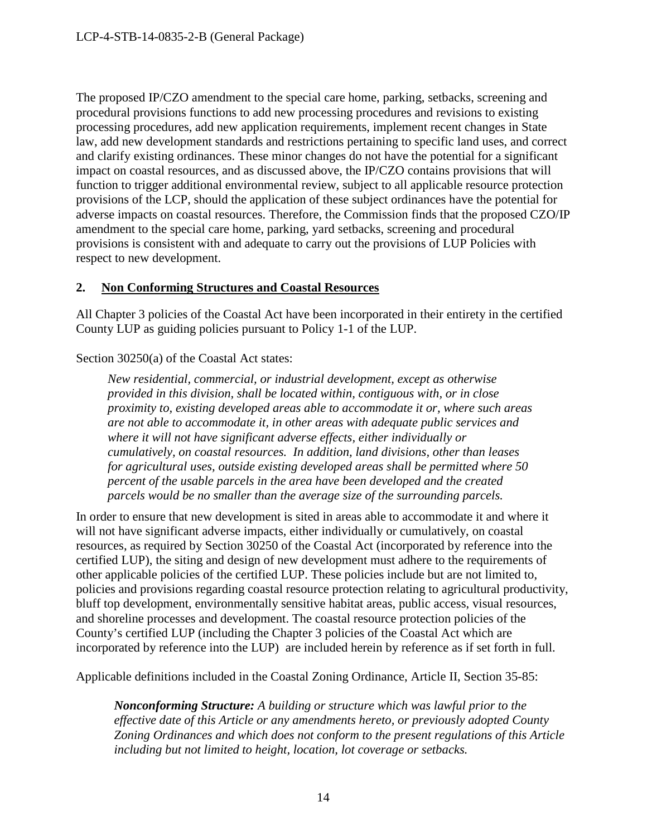The proposed IP/CZO amendment to the special care home, parking, setbacks, screening and procedural provisions functions to add new processing procedures and revisions to existing processing procedures, add new application requirements, implement recent changes in State law, add new development standards and restrictions pertaining to specific land uses, and correct and clarify existing ordinances. These minor changes do not have the potential for a significant impact on coastal resources, and as discussed above, the IP/CZO contains provisions that will function to trigger additional environmental review, subject to all applicable resource protection provisions of the LCP, should the application of these subject ordinances have the potential for adverse impacts on coastal resources. Therefore, the Commission finds that the proposed CZO/IP amendment to the special care home, parking, yard setbacks, screening and procedural provisions is consistent with and adequate to carry out the provisions of LUP Policies with respect to new development.

## <span id="page-13-0"></span>**2. Non Conforming Structures and Coastal Resources**

All Chapter 3 policies of the Coastal Act have been incorporated in their entirety in the certified County LUP as guiding policies pursuant to Policy 1-1 of the LUP.

Section 30250(a) of the Coastal Act states:

*New residential, commercial, or industrial development, except as otherwise provided in this division, shall be located within, contiguous with, or in close proximity to, existing developed areas able to accommodate it or, where such areas are not able to accommodate it, in other areas with adequate public services and where it will not have significant adverse effects, either individually or cumulatively, on coastal resources. In addition, land divisions, other than leases for agricultural uses, outside existing developed areas shall be permitted where 50 percent of the usable parcels in the area have been developed and the created parcels would be no smaller than the average size of the surrounding parcels.* 

In order to ensure that new development is sited in areas able to accommodate it and where it will not have significant adverse impacts, either individually or cumulatively, on coastal resources, as required by Section 30250 of the Coastal Act (incorporated by reference into the certified LUP), the siting and design of new development must adhere to the requirements of other applicable policies of the certified LUP. These policies include but are not limited to, policies and provisions regarding coastal resource protection relating to agricultural productivity, bluff top development, environmentally sensitive habitat areas, public access, visual resources, and shoreline processes and development. The coastal resource protection policies of the County's certified LUP (including the Chapter 3 policies of the Coastal Act which are incorporated by reference into the LUP) are included herein by reference as if set forth in full.

Applicable definitions included in the Coastal Zoning Ordinance, Article II, Section 35-85:

*Nonconforming Structure: A building or structure which was lawful prior to the effective date of this Article or any amendments hereto, or previously adopted County Zoning Ordinances and which does not conform to the present regulations of this Article including but not limited to height, location, lot coverage or setbacks.*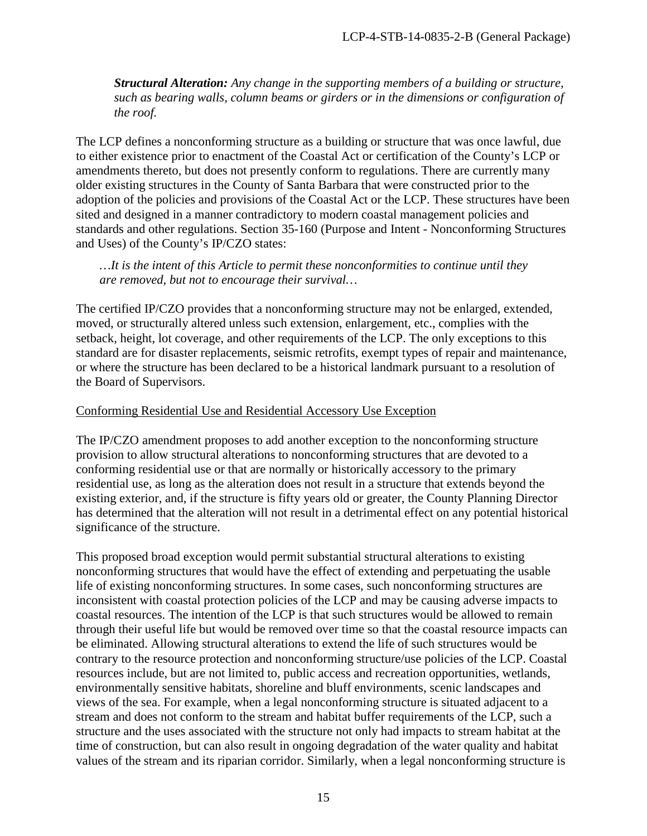*Structural Alteration: Any change in the supporting members of a building or structure, such as bearing walls, column beams or girders or in the dimensions or configuration of the roof.* 

The LCP defines a nonconforming structure as a building or structure that was once lawful, due to either existence prior to enactment of the Coastal Act or certification of the County's LCP or amendments thereto, but does not presently conform to regulations. There are currently many older existing structures in the County of Santa Barbara that were constructed prior to the adoption of the policies and provisions of the Coastal Act or the LCP. These structures have been sited and designed in a manner contradictory to modern coastal management policies and standards and other regulations. Section 35-160 (Purpose and Intent - Nonconforming Structures and Uses) of the County's IP/CZO states:

*…It is the intent of this Article to permit these nonconformities to continue until they are removed, but not to encourage their survival…* 

The certified IP/CZO provides that a nonconforming structure may not be enlarged, extended, moved, or structurally altered unless such extension, enlargement, etc., complies with the setback, height, lot coverage, and other requirements of the LCP. The only exceptions to this standard are for disaster replacements, seismic retrofits, exempt types of repair and maintenance, or where the structure has been declared to be a historical landmark pursuant to a resolution of the Board of Supervisors.

### Conforming Residential Use and Residential Accessory Use Exception

The IP/CZO amendment proposes to add another exception to the nonconforming structure provision to allow structural alterations to nonconforming structures that are devoted to a conforming residential use or that are normally or historically accessory to the primary residential use, as long as the alteration does not result in a structure that extends beyond the existing exterior, and, if the structure is fifty years old or greater, the County Planning Director has determined that the alteration will not result in a detrimental effect on any potential historical significance of the structure.

This proposed broad exception would permit substantial structural alterations to existing nonconforming structures that would have the effect of extending and perpetuating the usable life of existing nonconforming structures. In some cases, such nonconforming structures are inconsistent with coastal protection policies of the LCP and may be causing adverse impacts to coastal resources. The intention of the LCP is that such structures would be allowed to remain through their useful life but would be removed over time so that the coastal resource impacts can be eliminated. Allowing structural alterations to extend the life of such structures would be contrary to the resource protection and nonconforming structure/use policies of the LCP. Coastal resources include, but are not limited to, public access and recreation opportunities, wetlands, environmentally sensitive habitats, shoreline and bluff environments, scenic landscapes and views of the sea. For example, when a legal nonconforming structure is situated adjacent to a stream and does not conform to the stream and habitat buffer requirements of the LCP, such a structure and the uses associated with the structure not only had impacts to stream habitat at the time of construction, but can also result in ongoing degradation of the water quality and habitat values of the stream and its riparian corridor. Similarly, when a legal nonconforming structure is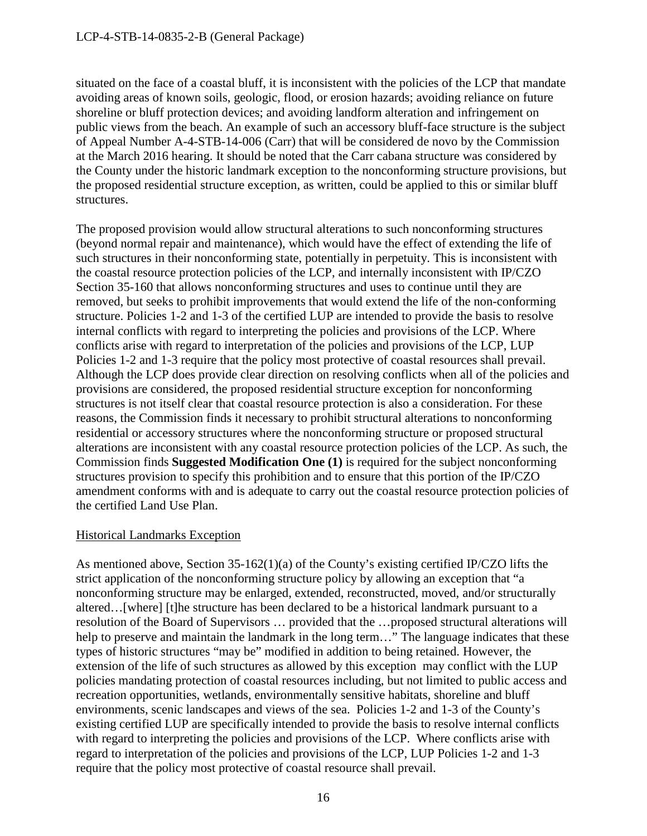situated on the face of a coastal bluff, it is inconsistent with the policies of the LCP that mandate avoiding areas of known soils, geologic, flood, or erosion hazards; avoiding reliance on future shoreline or bluff protection devices; and avoiding landform alteration and infringement on public views from the beach. An example of such an accessory bluff-face structure is the subject of Appeal Number A-4-STB-14-006 (Carr) that will be considered de novo by the Commission at the March 2016 hearing. It should be noted that the Carr cabana structure was considered by the County under the historic landmark exception to the nonconforming structure provisions, but the proposed residential structure exception, as written, could be applied to this or similar bluff structures.

The proposed provision would allow structural alterations to such nonconforming structures (beyond normal repair and maintenance), which would have the effect of extending the life of such structures in their nonconforming state, potentially in perpetuity. This is inconsistent with the coastal resource protection policies of the LCP, and internally inconsistent with IP/CZO Section 35-160 that allows nonconforming structures and uses to continue until they are removed, but seeks to prohibit improvements that would extend the life of the non-conforming structure. Policies 1-2 and 1-3 of the certified LUP are intended to provide the basis to resolve internal conflicts with regard to interpreting the policies and provisions of the LCP. Where conflicts arise with regard to interpretation of the policies and provisions of the LCP, LUP Policies 1-2 and 1-3 require that the policy most protective of coastal resources shall prevail. Although the LCP does provide clear direction on resolving conflicts when all of the policies and provisions are considered, the proposed residential structure exception for nonconforming structures is not itself clear that coastal resource protection is also a consideration. For these reasons, the Commission finds it necessary to prohibit structural alterations to nonconforming residential or accessory structures where the nonconforming structure or proposed structural alterations are inconsistent with any coastal resource protection policies of the LCP. As such, the Commission finds **Suggested Modification One (1)** is required for the subject nonconforming structures provision to specify this prohibition and to ensure that this portion of the IP/CZO amendment conforms with and is adequate to carry out the coastal resource protection policies of the certified Land Use Plan.

## Historical Landmarks Exception

As mentioned above, Section 35-162(1)(a) of the County's existing certified IP/CZO lifts the strict application of the nonconforming structure policy by allowing an exception that "a nonconforming structure may be enlarged, extended, reconstructed, moved, and/or structurally altered…[where] [t]he structure has been declared to be a historical landmark pursuant to a resolution of the Board of Supervisors … provided that the …proposed structural alterations will help to preserve and maintain the landmark in the long term..." The language indicates that these types of historic structures "may be" modified in addition to being retained. However, the extension of the life of such structures as allowed by this exception may conflict with the LUP policies mandating protection of coastal resources including, but not limited to public access and recreation opportunities, wetlands, environmentally sensitive habitats, shoreline and bluff environments, scenic landscapes and views of the sea. Policies 1-2 and 1-3 of the County's existing certified LUP are specifically intended to provide the basis to resolve internal conflicts with regard to interpreting the policies and provisions of the LCP. Where conflicts arise with regard to interpretation of the policies and provisions of the LCP, LUP Policies 1-2 and 1-3 require that the policy most protective of coastal resource shall prevail.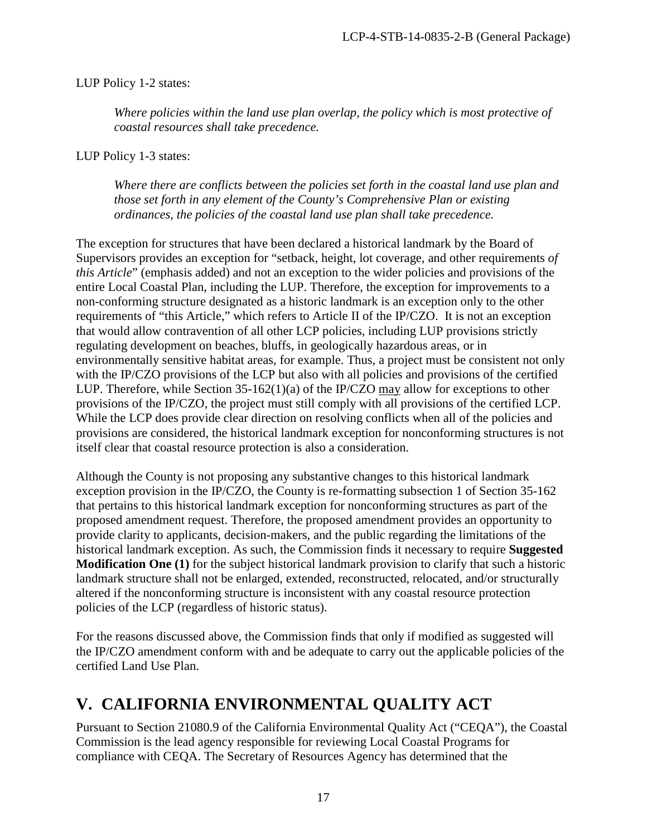## LUP Policy 1-2 states:

*Where policies within the land use plan overlap, the policy which is most protective of coastal resources shall take precedence.*

LUP Policy 1-3 states:

*Where there are conflicts between the policies set forth in the coastal land use plan and those set forth in any element of the County's Comprehensive Plan or existing ordinances, the policies of the coastal land use plan shall take precedence.* 

The exception for structures that have been declared a historical landmark by the Board of Supervisors provides an exception for "setback, height, lot coverage, and other requirements *of this Article*" (emphasis added) and not an exception to the wider policies and provisions of the entire Local Coastal Plan, including the LUP. Therefore, the exception for improvements to a non-conforming structure designated as a historic landmark is an exception only to the other requirements of "this Article," which refers to Article II of the IP/CZO. It is not an exception that would allow contravention of all other LCP policies, including LUP provisions strictly regulating development on beaches, bluffs, in geologically hazardous areas, or in environmentally sensitive habitat areas, for example. Thus, a project must be consistent not only with the IP/CZO provisions of the LCP but also with all policies and provisions of the certified LUP. Therefore, while Section 35-162(1)(a) of the IP/CZO may allow for exceptions to other provisions of the IP/CZO, the project must still comply with all provisions of the certified LCP. While the LCP does provide clear direction on resolving conflicts when all of the policies and provisions are considered, the historical landmark exception for nonconforming structures is not itself clear that coastal resource protection is also a consideration.

Although the County is not proposing any substantive changes to this historical landmark exception provision in the IP/CZO, the County is re-formatting subsection 1 of Section 35-162 that pertains to this historical landmark exception for nonconforming structures as part of the proposed amendment request. Therefore, the proposed amendment provides an opportunity to provide clarity to applicants, decision-makers, and the public regarding the limitations of the historical landmark exception. As such, the Commission finds it necessary to require **Suggested Modification One (1)** for the subject historical landmark provision to clarify that such a historic landmark structure shall not be enlarged, extended, reconstructed, relocated, and/or structurally altered if the nonconforming structure is inconsistent with any coastal resource protection policies of the LCP (regardless of historic status).

For the reasons discussed above, the Commission finds that only if modified as suggested will the IP/CZO amendment conform with and be adequate to carry out the applicable policies of the certified Land Use Plan.

# <span id="page-16-0"></span>**V. CALIFORNIA ENVIRONMENTAL QUALITY ACT**

Pursuant to Section 21080.9 of the California Environmental Quality Act ("CEQA"), the Coastal Commission is the lead agency responsible for reviewing Local Coastal Programs for compliance with CEQA. The Secretary of Resources Agency has determined that the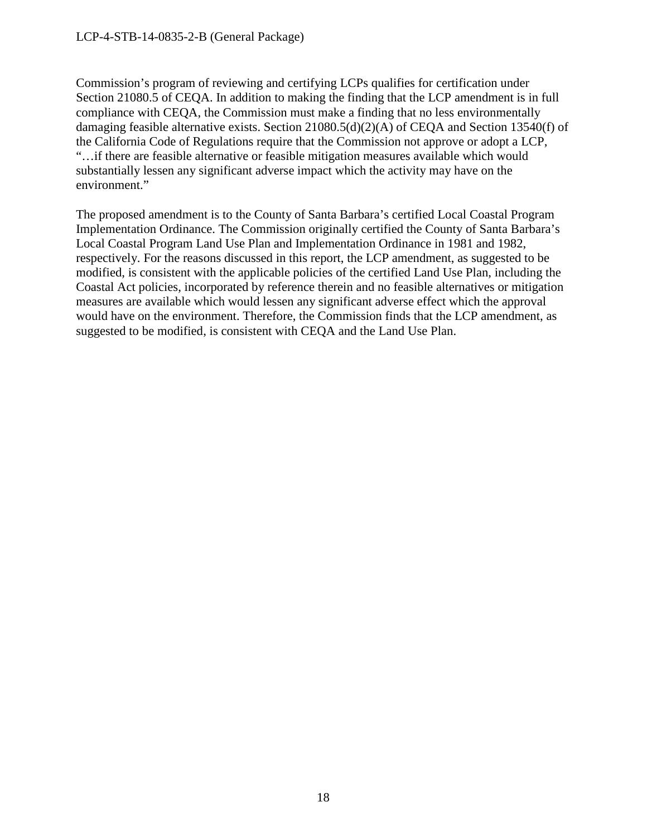Commission's program of reviewing and certifying LCPs qualifies for certification under Section 21080.5 of CEQA. In addition to making the finding that the LCP amendment is in full compliance with CEQA, the Commission must make a finding that no less environmentally damaging feasible alternative exists. Section 21080.5(d)(2)(A) of CEQA and Section 13540(f) of the California Code of Regulations require that the Commission not approve or adopt a LCP, "…if there are feasible alternative or feasible mitigation measures available which would substantially lessen any significant adverse impact which the activity may have on the environment."

The proposed amendment is to the County of Santa Barbara's certified Local Coastal Program Implementation Ordinance. The Commission originally certified the County of Santa Barbara's Local Coastal Program Land Use Plan and Implementation Ordinance in 1981 and 1982, respectively. For the reasons discussed in this report, the LCP amendment, as suggested to be modified, is consistent with the applicable policies of the certified Land Use Plan, including the Coastal Act policies, incorporated by reference therein and no feasible alternatives or mitigation measures are available which would lessen any significant adverse effect which the approval would have on the environment. Therefore, the Commission finds that the LCP amendment, as suggested to be modified, is consistent with CEQA and the Land Use Plan.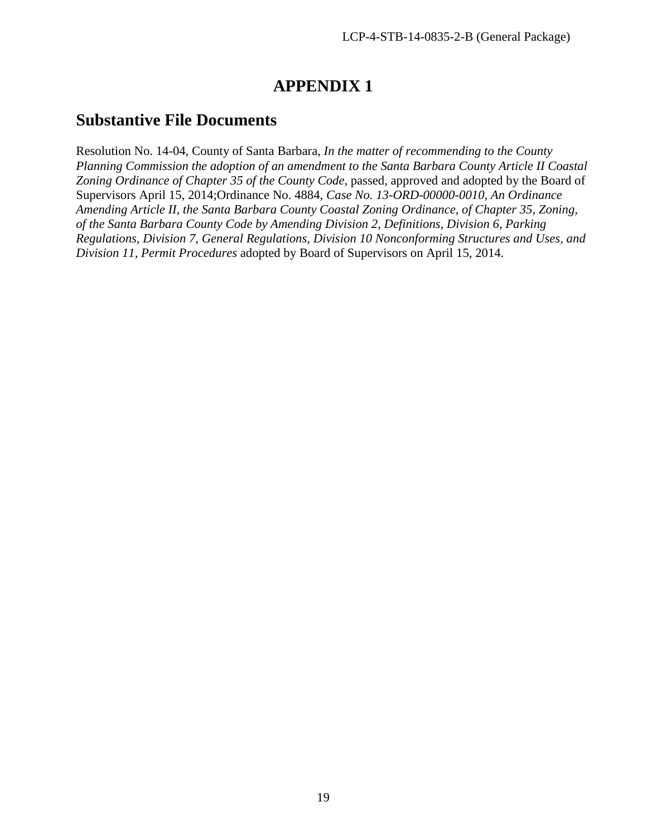# **APPENDIX 1**

## **Substantive File Documents**

Resolution No. 14-04, County of Santa Barbara, *In the matter of recommending to the County Planning Commission the adoption of an amendment to the Santa Barbara County Article II Coastal*  Zoning Ordinance of Chapter 35 of the County Code, passed, approved and adopted by the Board of Supervisors April 15, 2014;Ordinance No. 4884, *Case No. 13-ORD-00000-0010*, *An Ordinance Amending Article II, the Santa Barbara County Coastal Zoning Ordinance, of Chapter 35, Zoning, of the Santa Barbara County Code by Amending Division 2, Definitions, Division 6, Parking Regulations, Division 7, General Regulations, Division 10 Nonconforming Structures and Uses, and Division 11, Permit Procedures* adopted by Board of Supervisors on April 15, 2014.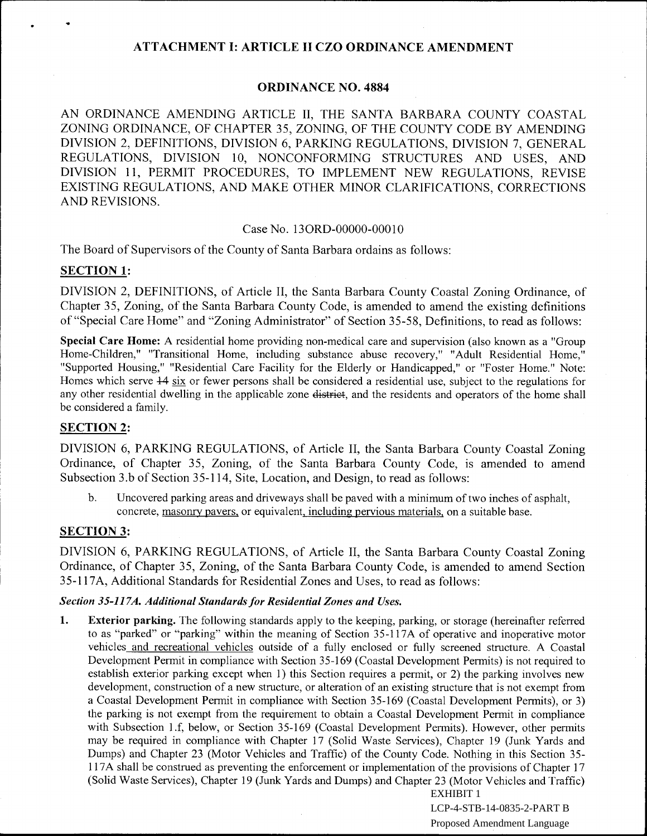## ATTACHMENT 1: ARTICLE II CZO ORDINANCE AMENDMENT

### ORDINANCE NO. 4884

AN ORDINANCE AMENDING ARTICLE II, THE SANTA BARBARA COUNTY COASTAL ZONING ORDINANCE, OF CHAPTER 35, ZONING, OF THE COUNTY CODE BY AMENDING DIVISION 2, DEFINITIONS, DIVISION 6, PARKING REGULATIONS, DIVISION 7, GENERAL REGULATIONS, DIVISION 10, NONCONFORMING STRUCTURES AND USES, AND DIVISION 11, PERMIT PROCEDURES, TO IMPLEMENT NEW REGULATIONS, REVISE EXISTING REGULATIONS, AND MAKE OTHER MINOR CLARIFICATIONS, CORRECTIONS AND REVISIONS.

#### Case No. 130RD-00000-00010

The Board of Supervisors of the County of Santa Barbara ordains as follows:

#### SECTION 1:

DIVISION 2, DEFINITIONS, of Article II, the Santa Barbara County Coastal Zoning Ordinance, of Chapter 35, Zoning, of the Santa Barbara County Code, is amended to amend the existing definitions of "Special Care Home" and "Zoning Administrator" of Section 35-58, Definitions, to read as follows:

Special Care Home: A residential home providing non-medical care and supervision (also known as a "Group Home-Children," "Transitional Home, including substance abuse recovery," "Adult Residential Home," "Supported Housing," "Residential Care Facility for the Elderly or Handicapped," or "Foster Home." Note: Homes which serve  $\frac{14}{12}$  six or fewer persons shall be considered a residential use, subject to the regulations for any other residential dwelling in the applicable zone district, and the residents and operators of the home shall be considered a family.

### SECTION 2:

DIVISION 6, PARKING REGULATIONS, of Article II, the Santa Barbara County Coastal Zoning Ordinance, of Chapter 35, Zoning, of the Santa Barbara County Code, is amended to amend Subsection 3.b of Section 35-114, Site, Location, and Design, to read as follows:

b. Uncovered parking areas and driveways shall be paved with a minimum of two inches of asphalt, concrete, masonry pavers, or equivalent, including pervious materials, on a suitable base.

#### SECTION 3:

DIVISION 6, PARKING REGULATIONS, of Article II, the Santa Barbara County Coastal Zoning Ordinance, of Chapter 35, Zoning, of the Santa Barbara County Code, is amended to amend Section 35-117A, Additional Standards for Residential Zones and Uses, to read as follows:

#### *Section 35-117A. Additional Standards for Residential Zones and Uses.*

1. Exterior parking. The following standards apply to the keeping, parking, or storage (hereinafter referred to as "parked" or "parking" within the meaning of Section 35-117A of operative and inoperative motor vehicles and recreational vehicles outside of a fully enclosed or fully screened structure. A Coastal Development Permit in compliance with Section 35-169 (Coastal Development Permits) is not required to establish exterior parking except when 1) this Section requires a permit, or 2) the parking involves new development, construction of a new structure, or alteration of an existing structure that is not exempt from a Coastal Development Permit in compliance with Section 35-169 (Coastal Development Permits), or 3) the parking is not exempt from the requirement to obtain a Coastal Development Permit in compliance with Subsection 1.f, below, or Section 35-169 (Coastal Development Permits). However, other permits may be required in compliance with Chapter 17 (Solid Waste Services), Chapter 19 (Junk Yards and Dumps) and Chapter 23 (Motor Vehicles and Traffic) of the County Code. Nothing in this Section 35- 117A shall be construed as preventing the enforcement or implementation of the provisions of Chapter 17 (Solid Waste Services), Chapter 19 (Junk Yards and Dumps) and Chapter 23 (Motor Vehicles and Traffic)

EXHIBIT 1

LCP-4-STB-14-0835-2-PART B Proposed Amendment Language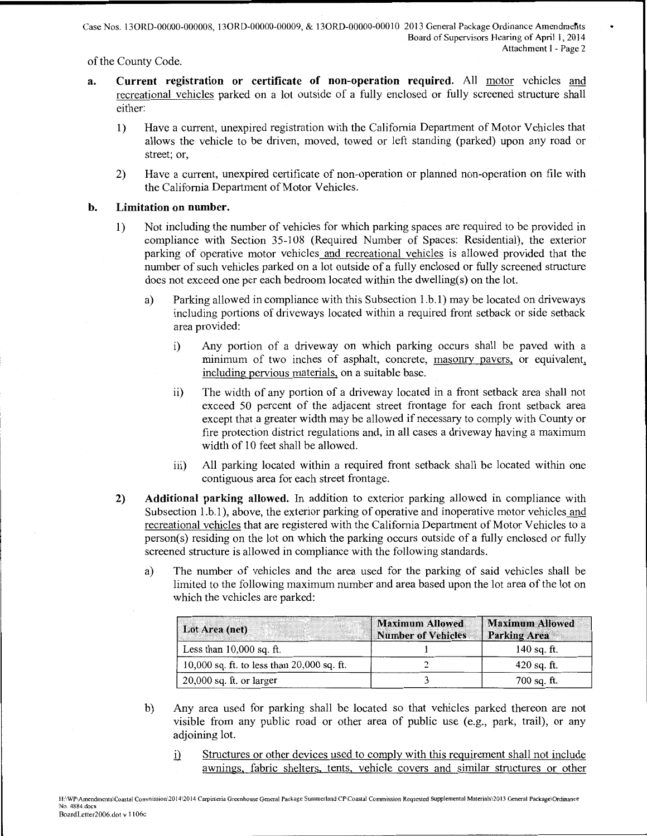of the County Code.

- a. Current registration or certificate of non-operation required. All motor vehicles and recreational vehicles parked on a lot outside of a fully enclosed or fully screened structure shall either:
	- 1) Have a current, unexpired registration with the California Department of Motor Vehicles that allows the vehicle to be driven, moved, towed or left standing (parked) upon any road or street; or,
	- 2) Have a current, unexpired certificate of non-operation or planned non-operation on file with the California Department of Motor Vehicles.

#### b. Limitation on number.

- 1) Not including the number of vehicles for which parking spaces are required to be provided in compliance with Section 35-108 (Required Number of Spaces: Residential), the exterior parking of operative motor vehicles and recreational vehicles is allowed provided that the number of such vehicles parked on a lot outside of a fully enclosed or fully screened structure does not exceed one per each bedroom located within the dwelling(s) on the lot.
	- a) Parking allowed in compliance with this Subsection 1.b.1) may be located on driveways including portions of driveways located within a required front setback or side setback area provided:
		- i) Any portion of a driveway on which parking occurs shall be paved with a minimum of two inches of asphalt, concrete, masonry pavers, or equivalent, including pervious materials, on a suitable base.
		- ii) The width of any portion of a driveway located in a front setback area shall not exceed 50 percent of the adjacent street frontage for each front setback area except that a greater width may be allowed if necessary to comply with County or fire protection district regulations and, in all cases a driveway having a maximum width of 10 feet shall be allowed.
		- iii) All parking located within a required front setback shall be located within one contiguous area for each street frontage.
- 2) Additional parking allowed. In addition to exterior parking allowed in compliance with Subsection 1.b.1), above, the exterior parking of operative and inoperative motor vehicles and recreational vehicles that are registered with the California Department of Motor Vehicles to a person(s) residing on the lot on which the parking occurs outside of a fully enclosed or fully screened structure is allowed in compliance with the following standards.
	- a) The number of vehicles and the area used for the parking of said vehicles shall be limited to the following maximum number and area based upon the lot area of the lot on which the vehicles are parked:

| Lot Area (net)                             | <b>Maximum Allowed</b><br>  Number of Vehicles | <b>Maximum Allowed</b><br><b>Parking Area</b> |
|--------------------------------------------|------------------------------------------------|-----------------------------------------------|
| Less than $10,000$ sq. ft.                 |                                                | $140$ sq. ft.                                 |
| 10,000 sq. ft. to less than 20,000 sq. ft. |                                                | $420$ sq. ft.                                 |
| $20,000$ sq. ft. or larger                 |                                                | $700$ sq. ft.                                 |

- b) Any area used for parking shall be located so that vehicles parked thereon are not visible from any public road or other area of public use (e.g., park, trail), or any adjoining lot.
	- i) Structures or other devices used to comply with this requirement shall not include awnings, fabric shelters. tents, vehicle covers and similar structures or other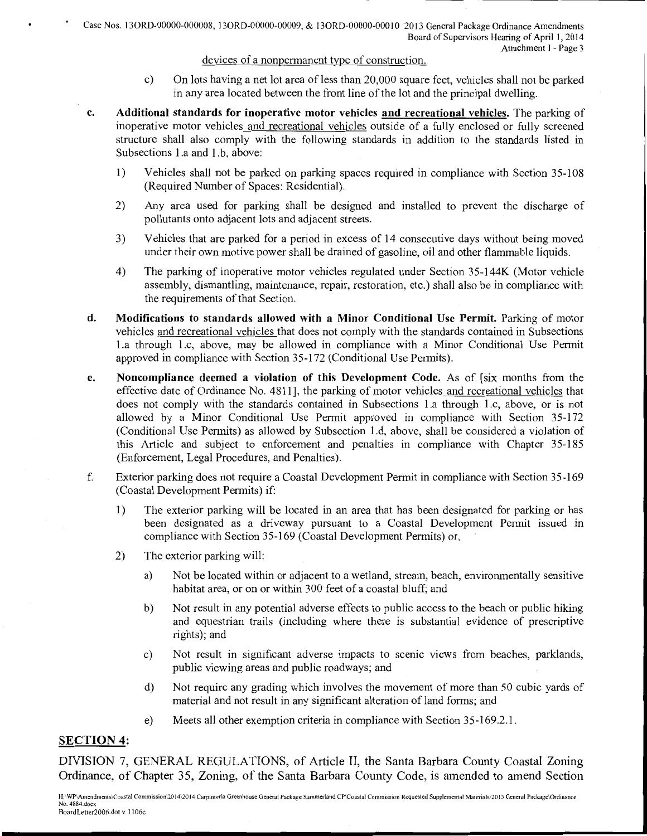#### devices of a nonpermanent type of construction.

- c) On lots having a net lot area of less than 20,000 square feet, vehicles shall not be parked in any area located between the front line of the lot and the principal dwelling.
- c. Additional standards for inoperative motor vehicles and recreational vehicles. The parking of inoperative motor vehicles and recreational vehicles outside of a fully enclosed or fully screened structure shall also comply with the following standards in addition to the standards listed in Subsections 1.a and 1.b, above:
	- 1) Vehicles shall not be parked on parking spaces required in compliance with Section 35-108 (Required Number of Spaces: Residential).
	- 2) Any area used for parking shall be designed and installed to prevent the discharge of pollutants onto adjacent lots and adjacent streets.
	- 3) Vehicles that are parked for a period in excess of 14 consecutive days without being moved under their own motive power shall be drained of gasoline, oil and other flammable liquids.
	- 4) The parking of inoperative motor vehicles regulated under Section 35-144K (Motor vehicle assembly, dismantling, maintenance, repair, restoration, etc.) shall also be in compliance with the requirements of that Section.
- d. Modifications to standards allowed with a Minor Conditional Use Permit. Parking of motor vehicles and recreational vehicles that does not comply with the standards contained in Subsections l.a through 1.c, above, may be allowed in compliance with a Minor Conditional Use Permit approved in compliance with Section 35-172 (Conditional Use Permits).
- e. Noncompliance deemed a violation of this Development Code. As of [six months from the effective date of Ordinance No. 4811], the parking of motor vehicles and recreational vehicles that does not comply with the standards contained in Subsections 1.a through 1.c, above, or is not allowed by a Minor Conditional Use Permit approved in compliance with Section 35-172 (Conditional Use Permits) as allowed by Subsection l.d, above, shall be considered a violation of this Article and subject to enforcement and penalties in compliance with Chapter 35-185 (Enforcement, Legal Procedures, and Penalties).
- f. Exterior parking does not require a Coastal Development Permit in compliance with Section 35-169 (Coastal Development Permits) if:
	- 1) The exterior parking will be located in an area that has been designated for parking or has been designated as a driveway pursuant to a Coastal Development Permit issued in compliance with Section 35-169 (Coastal Development Permits) or,
	- 2) The exterior parking will:
		- a) Not be located within or adjacent to a wetland, stream, beach, environmentally sensitive habitat area, or on or within 300 feet of a coastal bluff; and
		- b) Not result in any potential adverse effects to public access to the beach or public hiking and equestrian trails (including where there 1s substantial evidence of prescriptive rights); and
		- c) Not result in significant adverse impacts to scenic views from beaches, parklands, public viewing areas and public roadways; and
		- d) Not require any grading which involves the movement of more than 50 cubic yards of material and not result in any significant alteration of land forms; and
		- e) Meets all other exemption criteria in compliance with Section 35-169.2.1.

## SECTION 4:

DIVISION 7, GENERAL REGULATIONS, of Article II, the Santa Barbara County Coastal Zoning Ordinance, of Chapter 35, Zoning, of the Santa Barbara County Code, is amended to amend Section

H:\WP\Amendments\Coastal Cornmission\2014\2014 Carpinteria Greenhouse General Package Summerland CP\Coastal Conunission Requested Supplemental Materials\2013 General Package\Ordinance No. 4884.docx BoardLetter2006.dot v 1106c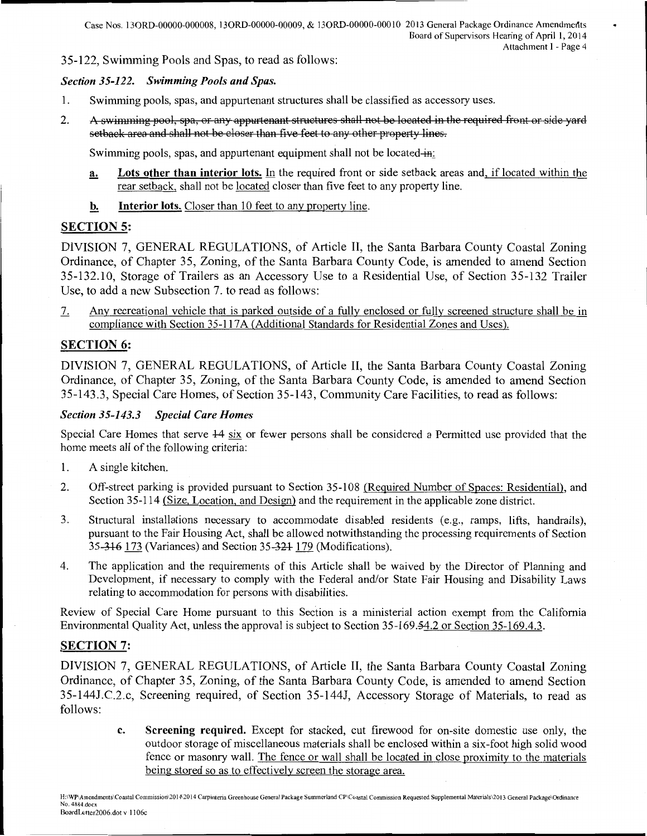35-122, Swimming Pools and Spas, to read as follows:

#### *Section 35-122. Swimming Pools and Spas.*

- 1. Swimming pools, spas, and appurtenant structures shall be classified as accessory uses.
- 2. A swimming pool, spa, or any appurtenant structures shall not be located in the required front or side yard setback area and shall not be closer than five feet to any other property lines.

Swimming pools, spas, and appurtenant equipment shall not be located-in:

- a. Lots other than interior lots. In the required front or side setback areas and, if located within the rear setback, shall not be located closer than five feet to any property line.
- b. Interior lots. Closer than 10 feet to any property line.

## SECTION 5:

DIVISION 7, GENERAL REGULATIONS, of Article II, the Santa Barbara County Coastal Zoning Ordinance, of Chapter 35, Zoning, of the Santa Barbara County Code, is amended to amend Section 35-132.10, Storage of Trailers as an Accessory Use to a Residential Use, of Section 35-132 Trailer Use, to add a new Subsection 7. to read as follows:

7. Any recreational vehicle that is parked outside of a fully enclosed or fully screened structure shall be in compliance with Section 35-117 A (Additional Standards for Residential Zones and Uses).

## SECTION 6:

DIVISION 7, GENERAL REGULATIONS, of Article II, the Santa Barbara County Coastal Zoning Ordinance, of Chapter 35, Zoning, of the Santa Barbara County Code, is amended to amend Section 35-143.3, Special Care Homes, of Section 35-143, Community Care Facilities, to read as follows:

#### *Section 35-143.3 Special Care Homes*

Special Care Homes that serve +4 six or fewer persons shall be considered a Permitted use provided that the home meets all of the following criteria:

- 1. A single kitchen.
- 2. Off-street parking is provided pursuant to Section 35-108 (Required Number of Spaces: Residential), and Section 35-114 (Size, Location, and Design) and the requirement in the applicable zone district.
- 3. Structural installations necessary to accommodate disabled residents (e.g., ramps, lifts, handrails), pursuant to the Fair Housing Act, shall be allowed notwithstanding the processing requirements of Section 35-316 173 (Variances) and Section 35-321 179 (Modifications).
- 4. The application and the requirements of this Article shall be waived by the Director of Planning and Development, if necessary to comply with the Federal and/or State Fair Housing and Disability Laws relating to accommodation for persons with disabilities.

Review of Special Care Home pursuant to this Section is a ministerial action exempt from the California Environmental Quality Act, unless the approval is subject to Section 35-169.54.2 or Section 35-169.4.3.

## SECTION 7:

DIVISION 7, GENERAL REGULATIONS, of Article II, the Santa Barbara County Coastal Zoning Ordinance, of Chapter 35, Zoning, of the Santa Barbara County Code, is amended to amend Section 35-144J.C.2.c, Screening required, of Section 35-144J, Accessory Storage of Materials, to read as follows:

> c. Screening required. Except for stacked, cut firewood for on-site domestic use only, the outdoor storage of miscellaneous materials shall be enclosed within a six-foot high solid wood fence or masonry wall. The fence or wall shall be located in close proximity to the materials being stored so as to effectively screen the storage area.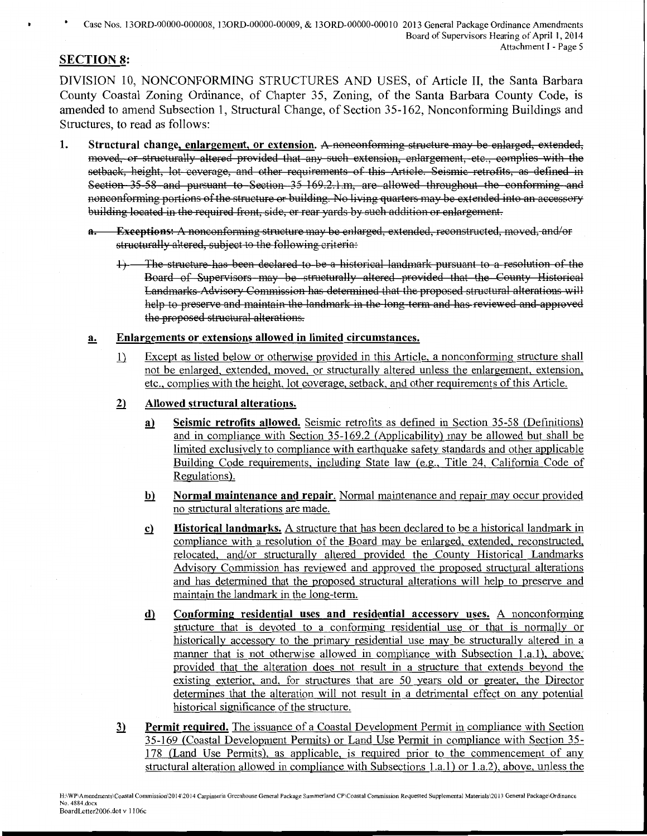## SECTION 8:

DIVISION 10, NONCONFORMING STRUCTURES AND USES, of Article II, the Santa Barbara County Coastal Zoning Ordinance, of Chapter 35, Zoning, of the Santa Barbara County Code, is amended to amend Subsection 1, Structural Change, of Section 35-162, Nonconforming Buildings and Structures, to read as follows:

- 1. Structural change, enlargement, or extension. A nonconforming structure may be enlarged, extended, moved, or structurally altered provided that any such extension, enlargement, etc., complies with the setback, height, lot coverage, and other requirements of this Article. Seismic retrofits, as defined in Section 35-58 and pursuant to Section 35 169.2.1.m, are allowed throughout the conforming and nonconforming portions of the structure or building. No living quarters may be extended into an accessory building located in the required front, side, or rear yards by such addition or enlargement.
	- **Exceptions:** A nonconforming structure may be enlarged, extended, reconstructed, moved, and/or structurally altered, subject to the following criteria:
		- 1) The structure has been declared to be a historical landmark pursuant to a resolution of the Board of Supervisors may be structurally altered provided that the County Historical Landmarks Advisory Commission has determined that the proposed structural alterations will help to preserve and maintain the landmark in the long term and has reviewed and approved the proposed structural alterations.

#### a. Enlargements or extensions allowed in limited circumstances.

- 1) Except as listed below or otherwise provided in this Article, a nonconforming structure shall not be enlarged, extended, moved, or structurally altered unless the enlargement, extension, etc., complies with the height, lot coverage, setback, and other requirements of this Article.
- 2) Allowed structural alterations.
	- a) Seismic retrofits allowed. Seismic retrofits as defined in Section 35-58 (Definitions) and in compliance with Section 35-169.2 (Applicability) may be allowed but shall be limited exclusively to compliance with earthquake safety standards and other applicable Building Code requirements, including State law (e.g., Title 24, California Code of Regulations).
	- b) Normal maintenance and repair. Normal maintenance and repair may occur provided no structural alterations are made.
	- .£}. Historical landmarks. A structure that has been declared to be a historical landmark in compliance with a resolution of the Board may be enlarged, extended, reconstructed, relocated, and/or structurally altered provided the County Historical Landmarks Advisory Commission has reviewed and approved the proposed structural alterations and has determined that the proposed structural alterations will help to preserve and maintain the landmark in the long-term.
	- d) Conforming residential uses and residential accessory uses. A nonconforming structure that is devoted to a conforming residential use or that is normally or historically accessory to the primary residential use may be structurally altered in a manner that is not otherwise allowed in compliance with Subsection l.a.1), above; provided that the alteration does not result in a structure that extends beyond the existing exterior, and, for structures that are 50 years old or greater, the Director determines that the alteration will not result in a detrimental effect on any potential historical significance of the structure.
- 3) Permit required. The issuance of a Coastal Development Permit in compliance with Section 35-169 (Coastal Development Permits) or Land Use Permit in compliance with Section 35- 178 (Land Use Permits), as applicable, is required prior to the commencement of any structural alteration allowed in compliance with Subsections 1.a.1) or 1.a.2), above, unless the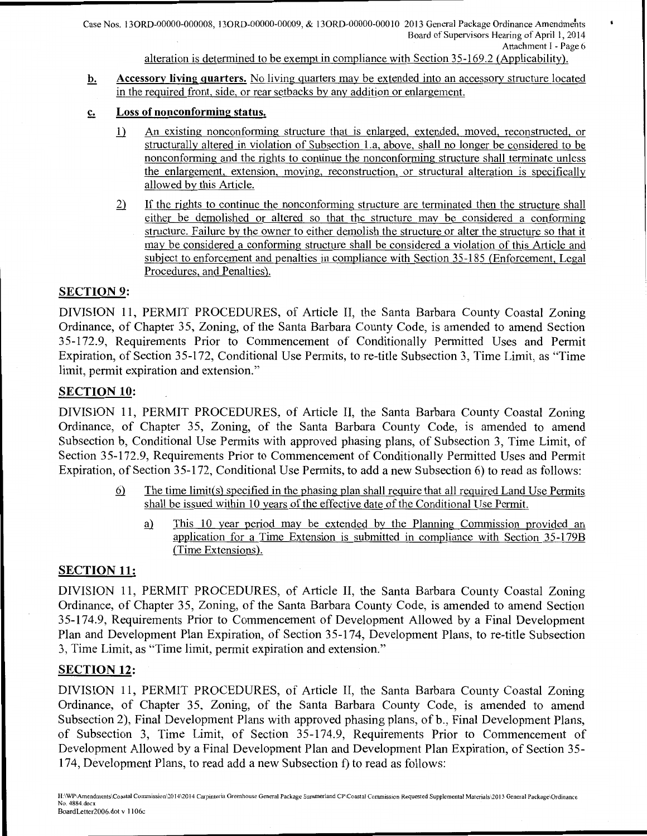alteration is determined to be exempt in compliance with Section 35-169.2 (Applicability).

- b. Accessory living quarters. No living quarters may be extended into an accessory structure located in the required front, side, or rear setbacks by any addition or enlargement.
- c. Loss of nonconforming status.
	- l} An existing nonconforming structure that is enlarged, extended, moved, reconstructed, or structurally altered in violation of Subsection 1.a, above, shall no longer be considered to be nonconforming and the rights to continue the nonconforming structure shall terminate unless the enlargement, extension, moving, reconstruction, or structural alteration is specifically allowed by this Article.
	- 2) If the rights to continue the nonconforming structure are terminated then the structure shall either be demolished or altered so that the structure may be considered a conforming structure. Failure by the owner to either demolish the structure or alter the structure so that it may be considered a conforming structure shall be considered a violation of this Article and subject to enforcement and penalties in compliance with Section 35-185 (Enforcement, Legal Procedures, and Penalties).

## SECTION 9:

DIVISION 11, PERMIT PROCEDURES, of Article II, the Santa Barbara County Coastal Zoning Ordinance, of Chapter 35, Zoning, of the Santa Barbara County Code, is amended to amend Section 35-172.9, Requirements Prior to Commencement of Conditionally Permitted Uses and Permit Expiration, of Section 35-172, Conditional Use Permits, to re-title Subsection 3, Time Limit, as "Time limit, permit expiration and extension."

## SECTION 10:

DIVISION 11, PERMIT PROCEDURES, of Article II, the Santa Barbara County Coastal Zoning Ordinance, of Chapter 35, Zoning, of the Santa Barbara County Code, is amended to amend Subsection b, Conditional Use Permits with approved phasing plans, of Subsection 3, Time Limit, of Section 35-172.9, Requirements Prior to Commencement of Conditionally Permitted Uses and Permit Expiration, of Section 35-172, Conditional Use Permits, to add a new Subsection 6) to read as follows:

- ~ The time limit(s) specified in the phasing plan shall require that all required Land Use Permits shall be issued within 10 years of the effective date of the Conditional Use Permit.
	- a) This 10 year period may be extended by the Planning Commission provided an application for a Time Extension is submitted in compliance with Section 35-179B (Time Extensions).

## SECTION 11:

DIVISION 11, PERMIT PROCEDURES, of Article II, the Santa Barbara County Coastal Zoning Ordinance, of Chapter 35, Zoning, of the Santa Barbara County Code, is amended to amend Section 35-174.9, Requirements Prior to Commencement of Development Allowed by a Final Development Plan and Development Plan Expiration, of Section 35-174, Development Plans, to re-title Subsection 3, Time Limit, as "Time limit, permit expiration and extension."

## SECTION 12:

DIVISION 11, PERMIT PROCEDURES, of Article II, the Santa Barbara County Coastal Zoning Ordinance, of Chapter 35, Zoning, of the Santa Barbara County Code, is amended to amend Subsection 2), Final Development Plans with approved phasing plans, of b., Final Development Plans, of Subsection 3, Time Limit, of Section 35-174.9, Requirements Prior to Commencement of Development Allowed by a Final Development Plan and Development Plan Expiration, of Section 35- 174, Development Plans, to read add a new Subsection f) to read as follows: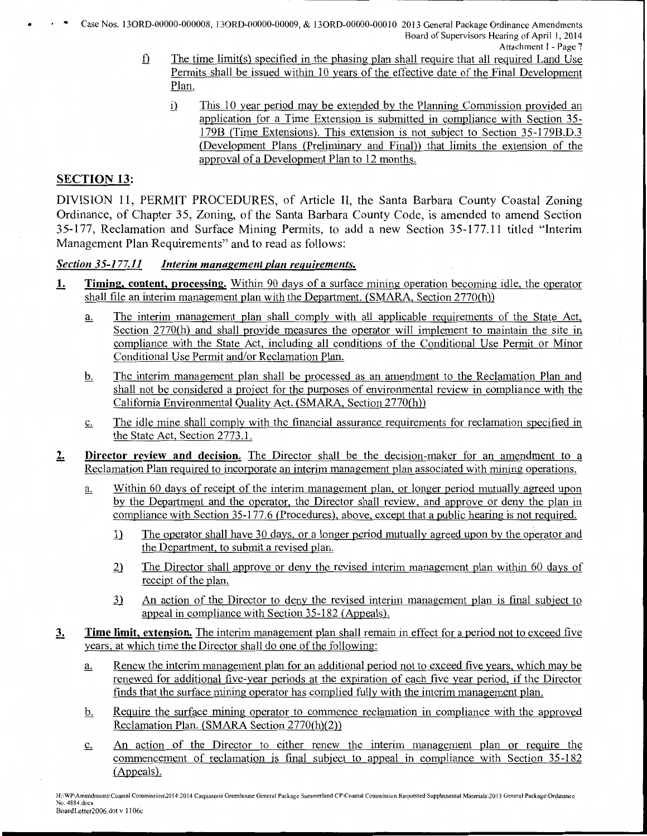• . . Case Nos. 130RD-00000-000008, 130RD-00000-00009, & 130RD-OOOOO-OOO I 0 2013 General Package Ordinance Amendments Board of Supervisors Hearing of April I, 2014

- Attachment I Page 7
- $\mathbf f$ . The time limit(s) specified in the phasing plan shall require that all required Land Use Permits shall be issued within 10 years of the effective date of the Final Development Plan.
	- i) This 10 year period may be extended by the Planning Commission provided an application for a Time Extension is submitted in compliance with Section 35- 179B (Time Extensions). This extension is not subject to Section 35-179B.D.3 (Development Plans (Preliminary and Final)) that limits the extension of the approval of a Development Plan to 12 months.

### SECTION 13:

DIVISION 11, PERMIT PROCEDURES, of Article II, the Santa Barbara County Coastal Zoning Ordinance, of Chapter 35, Zoning, of the Santa Barbara County Code, is amended to amend Section 35-177, Reclamation and Surface Mining Permits, to add a new Section 35-177.11 titled "Interim Management Plan Requirements" and to read as follows:

#### *Section 35-177.11 Interim management plan requirements.*

- 1. Timing, content, processing. Within 90 days of a surface mining operation becoming idle, the operator shall file an interim management plan with the Department. (SMARA, Section 2770(h))
	- a. The interim management plan shall comply with all applicable requirements of the State Act, Section 2770(h) and shall provide measures the operator will implement to maintain the site in compliance with the State Act, including all conditions of the Conditional Use Permit or Minor Conditional Use Permit and/or Reclamation Plan.
	- b. The interim management plan shall be processed as an amendment to the Reclamation Plan and shall not be considered a project for the purposes of environmental review in compliance with the California Environmental Quality Act. (SMARA, Section 2770(h))
	- c. The idle mine shall comply with the financial assurance requirements for reclamation specified in the State Act, Section 2773.1.
- 2. Director review and decision. The Director shall be the decision-maker for an amendment to a Reclamation Plan required to incorporate an interim management plan associated with mining operations .
	- a. Within 60 days of receipt of the interim management plan, or longer period mutually agreed upon by the Department and the operator, the Director shall review, and approve or deny the plan in compliance with Section 35-177.6 (Procedures), above, except that a public hearing is not required.
		- 1) The operator shall have 30 days, or a longer period mutually agreed upon by the operator and the Department, to submit a revised plan.
		- 2) The Director shall approve or deny the revised interim management plan within 60 days of receipt of the plan.
		- 3) An action of the Director to deny the revised interim management plan is final subject to appeal in compliance with Section 35-182 (Appeals).
- 3. Time limit, extension. The interim management plan shall remain in effect for a period not to exceed five years, at which time the Director shall do one of the following:
	- a. Renew the interim management plan for an additional period not to exceed five years, which may be renewed for additional five-year periods at the expiration of each five year period, if the Director finds that the surface mining operator has complied fully with the interim management plan.
	- b. Require the surface mining operator to commence reclamation in compliance with the approved Reclamation Plan. (SMARA Section 2770(h)(2))
	- c. An action of the Director to either renew the interim management plan or require the commencement of reclamation is final subject to appeal in compliance with Section 35-182 (Appeals).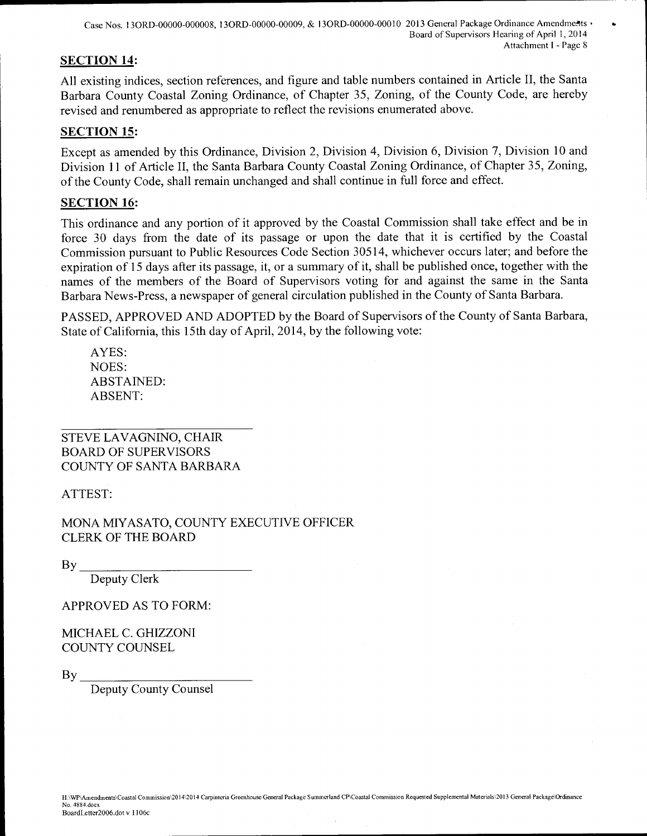Case Nos. 130RD-00000-000008, 13ORD-00000-00009, & 13ORD-00000-00010 2013 General Package Ordinance Amendme:"ts • Board of Supervisors Hearing of April I, 2014 Attachment I - Page 8

### SECTION 14:

All existing indices, section references, and figure and table numbers contained in Article II, the Santa Barbara County Coastal Zoning Ordinance, of Chapter 35, Zoning, of the County Code, are hereby revised and renumbered as appropriate to reflect the revisions enumerated above.

### SECTION 15:

Except as amended by this Ordinance, Division 2, Division 4, Division 6, Division 7, Division 10 and Division 11 of Article II, the Santa Barbara County Coastal Zoning Ordinance, of Chapter 35, Zoning, of the County Code, shall remain unchanged and shall continue in full force and effect.

### SECTION 16:

This ordinance and any portion of it approved by the Coastal Commission shall take effect and be in force 30 days from the date of its passage or upon the date that it is certified by the Coastal Commission pursuant to Public Resources Code Section 30514, whichever occurs later; and before the expiration of 15 days after its passage, it, or a summary of it, shall be published once, together with the names of the members of the Board of Supervisors voting for and against the same in the Santa Barbara News-Press, a newspaper of general circulation published in the County of Santa Barbara.

PASSED, APPROVED AND ADOPTED by the Board of Supervisors of the County of Santa Barbara, State of California, this 15th day of April, 2014, by the following vote:

AYES: NOES: ABSTAINED: ABSENT:

STEVE LAVAGNINO, CHAIR BOARD OF SUPERVISORS COUNTY OF SANTA BARBARA

ATTEST:

MONA MIYASATO, COUNTY EXECUTIVE OFFICER CLERK OF THE BOARD

 $\mathbf{B} \mathbf{y}$ 

Deputy Clerk

### APPROVED AS TO FORM:

MICHAEL C. GHIZZONI COUNTY COUNSEL

 $\mathbf{B} \mathbf{v}$ 

Deputy County Counsel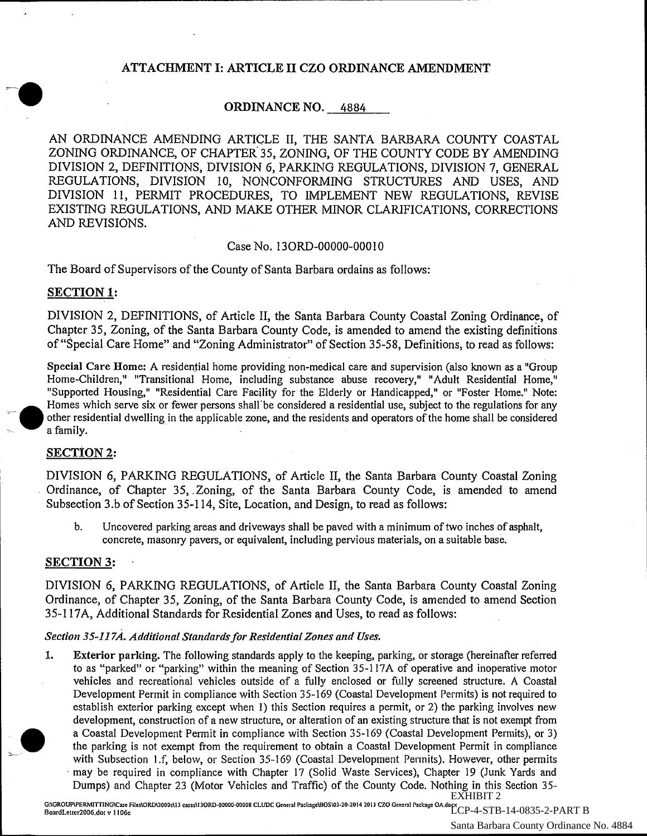### ATTACHMENT I: ARTICLE II CZO ORDINANCE AMENDMENT

## ORDINANCE NO. 4884

AN ORDINANCE AMENDING ARTICLE II, THE SANTA BARBARA COUNTY COASTAL ZONING ORDINANCE, OF CHAPTER 35, ZONING, OF THE COUNTY CODE BY AMENDING DIVISION 2, DEFINITIONS, DIVISION 6, PARKING REGULATIONS, DIVISION 7, GENERAL REGULATIONS, DIVISION 10, NONCONFORMING STRUCTURES AND USES, AND DIVISION 11, PERMIT PROCEDURES, TO IMPLEMENT NEW REGULATIONS, REVISE EXISTING REGULATIONS, AND MAKE OTHER MINOR CLARIFICATIONS, CORRECTIONS AND REVISIONS.

#### Case No. 130RD-00000-00010

The Board of Supervisors of the County of Santa Barbara ordains as follows:

-------------------------------------

#### SECTION 1:

DIVISION 2, DEFINITIONS, of Article II, the Santa Barbara County Coastal Zoning Ordinance, of Chapter 35, Zoning, of the Santa Barbara County Code, is amended to amend the existing definitions of "Special Care Home" and "Zoning Administrator" of Section 35-58, Definitions, to read as follows:

Special Care Home: A residential home providing non-medical care and supervision (also known as a "Group Home-Children," "Transitional Home, including substance abuse recovery," "Adult Residential Home," "Supported Housing," "Residential Care Facility for the Elderly or Handicapped," or "Foster Home." Note: Homes which serve six or fewer persons shall'be considered a residential use, subject to the regulations for any *<sup>r</sup>*other residential dwelling in the applicable zone, and the residents and operators of the home shall be considered a family.

### SECTION 2:

•

DIVISION 6, PARKING REGULATIONS, of Article II, the Santa Barbara County Coastal Zoning Ordinance, of Chapter 35, .Zoning, of the Santa Barbara County Code, is amended to amend Subsection 3.b of Section 35-114, Site, Location, and Design, to read as follows:

b. Uncovered parking areas and driveways shall be paved with a minimum oftwo inches of asphalt, concrete, masonry pavers, or equivalent, including pervious materials, on a suitable base.

#### SECTION 3:

DIVISION 6, PARKING REGULATIONS, of Article II, the Santa Barbara County Coastal Zoning Ordinance, of Chapter 35, Zoning, of the Santa Barbara County Code, is amended to amend Section 35-117A, Additional Standards for Residential Zones and Uses, to read as follows:

#### *Section 35-117A. Additional Standards for Residential Zones and Uses.*

1. ~· Exterior parking. The following standards apply to the keeping, parking, or storage (hereinafter referred to as "parked" or "parking" within the meaning of Section 35-117A of operative and inoperative motor vehicles and recreational vehicles outside of a fully enclosed or fully screened structure. A Coastal Development Permit in compliance with Section 35-169 (Coastal Development Permits) is not required to establish exterior parking except when 1) this Section requires a permit, or 2) the parking involves new development, construction of a new structure, or alteration of an existing structure that is not exempt from a Coastal Development Permit in compliance with Section 35-169 (Coastal Development Permits), or 3) the parking is not exempt from the requirement to obtain a Coastal Development Permit in compliance with Subsection l.f, below, or Section 35-169 (Coastal Development Permits). However, other permits may be required in compliance with Chapter 17 (Solid Waste Services), Chapter 19 (Junk Yards and Dumps) and Chapter 23 (Motor Vehicles and Traffic) of the County Code. Nothing in this Section 35- EXHIBIT 2

G:\GROUP\PERMITTING\Case Files\ORD\2000s\13 cases\13ORD-00000-00008 CLUDC General Packay&BOS\03-20-2014 2013 CZO General Packaye OA.docx<br>BoardLetter2006.dot v. 1106c LCP-4-STB-14-0835-2-PART B Santa Barbara County Ordinance No. 4884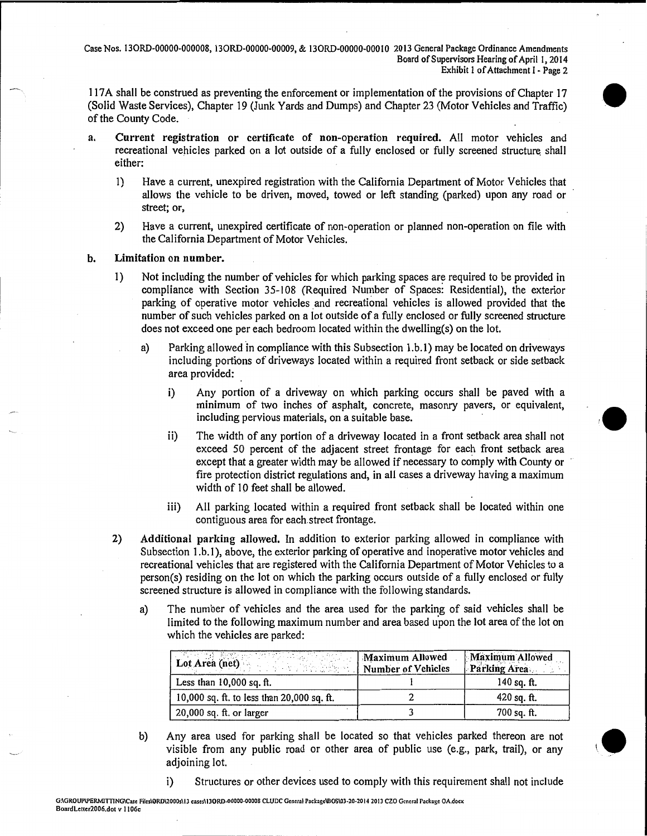Case Nos. 130RD-00000-000008, 130RD-00000-00009, & 130RD-OOOOO-OOOIO 2013 General Package Ordinance Amendments Board of Supervisors Hearing of April I, 2014 Exhibit I of Attachment I - Page 2

117A shall be construed as preventing the enforcement or implementation of the provisions of Chapter 17 (Solid Waste Services), Chapter I9 (Junk Yards and Dumps) and Chapter 23 (Motor Vehicles and Traffic) of the County Code.

- a. Current registration or certificate of non-operation required. All motor vehicles and recreational vehicles parked on a lot outside of a fully enclosed or fully screened structure shall either:
	- I) Have a current, unexpired registration with the California Department of Motor Vehicles that allows the vehicle to be driven, moved, towed or left standing (parked) upon any road or street; or,
	- 2) Have a current, unexpired certificate of non-operation or planned non-operation on file with the California Department of Motor Vehicles.

#### b. Limitation on number.

- 1) Not including the number of vehicles for which parking spaces are required to be provided in compliance with Section 35-108 (Required Number of Spaces: Residential), the exterior parking of operative motor vehicles and recreational vehicles is allowed provided that the number of such vehicles parked on a lot outside of a fully enclosed or fully screened structure does not exceed one per each bedroom located within the dwelling(s) on the lot.
	- a) Parking allowed in compliance with this Subsection 1.b.1) may be located on driveways including portions of driveways located within a required front setback or side setback area provided:
		- i) Any portion of a driveway on which parking occurs shall be paved with a minimum of two inches of asphalt, concrete, masonry pavers, or equivalent, including pervious materials, on a suitable base.

 $\bullet$ 

 $\bullet$ 

- ii) The width of any portion of a driveway located in a front setback area shall not exceed 50 percent of the adjacent street frontage for each front setback area except that a greater width may be allowed if necessary to comply with County or fire protection district regulations and, in all cases a driveway having a maximum width of 10 feet shall be allowed.
- iii) All parking located within a required front setback shall be located within one contiguous area for each. street frontage.
- 2) Additional parking allowed. In addition to exterior parking allowed in compliance with Subsection 1.b.1), above, the exterior parking of operative and inoperative motor vehicles and recreational vehicles that are registered with the California Department of Motor Vehicles to a person(s) residing on the lot on which the parking occurs outside of a fully enclosed or fully screened structure is allowed in compliance with the following standards.
	- a) The number of vehicles and the area used for the parking of said vehicles shall be limited to the following maximum number and area based upon the lot area of the lot on which the vehicles are parked:

| Lot Area (net) Maximum Allowed<br>Number of Vehicles | <b>Maximum Allowed</b><br><b>Parking Area</b> |
|------------------------------------------------------|-----------------------------------------------|
| Less than $10,000$ sq. ft.                           | 140 sq. $ft.$                                 |
| 10,000 sq. ft. to less than 20,000 sq. ft.           | $420$ sq. ft.                                 |
| $20,000$ sq. ft. or larger                           | $700$ sq. ft.                                 |

b) Any area used for parking shall be located so that vehicles parked thereon are not visible from any public road or other area of public use (e.g., park, trail), or any adjoining lot.

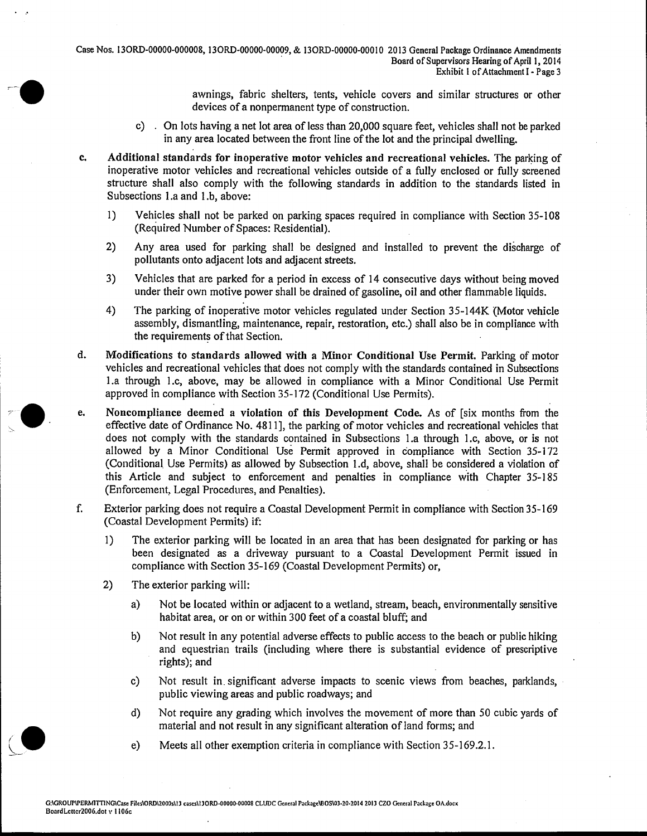Case Nos. 130RD-00000-000008, 130RD-00000-00009, & 130RD-OOOOO-OOOIO 2013 General Package Ordinance Amendments Board of Supervisors Hearing of April 1, 2014 Exhibit I of Attachment I - Page 3

> awnings, fabric shelters, tents, vehicle covers and similar structures or other devices of a nonpermanent type of construction.

- c) . On lots having a net lot area of less than 20,000 square feet, vehicles shall not be parked in any area located between the front line of the lot and the principal dwelling.
- c. Additional standards for inoperative motor vehicles and recreational vehicles. The parking of inoperative motor vehicles and recreational vehicles outside of a fully enclosed or fully screened structure shall also comply with the following standards in addition to the standards listed in Subsections 1.a and 1.b, above:
	- 1) Vehicles shall not be parked on parking spaces required in compliance with Section 35-108 (Required Number of Spaces: Residential).
	- 2) Any area used for parking shall be designed and installed to prevent the discharge of pollutants onto adjacent lots and adjacent streets.
	- 3) Vehicles that are parked for a period in excess of 14 consecutive days without being moved under their own motive power shall be drained of gasoline, oil and other flammable liquids.
	- 4) The parking of inoperative motor vehicles regulated under Section 35-144K (Motor vehicle assembly, dismantling, maintenance, repair, restoration, etc.) shall also be in compliance with the requirements of that Section.
- d. Modifications to standards allowed with a Minor Conditional Use Permit. Parking of motor vehicles and recreational vehicles that does not comply with the standards contained in Subsections l.a through 1 .c, above, may be allowed in compliance with a Minor Conditional Use Permit approved in compliance with Section 35-172 (Conditional Use Permits).
- e. Noncompliance deemed a violation of this Development Code. As of [six months from the effective date of Ordinance No. 4811], the parking of motor vehicles and recreational vehicles that does not comply with the standards contained in Subsections l.a through I.e, above, or is not allowed by a Minor Conditional Use Permit approved in compliance with Section 35-172 (Conditional. Use Permits) as allowed by Subsection 1.d, above, shall be considered a violation of this Article and subject to enforcement and penalties in compliance with Chapter 35-185 (Enforcement, Legal Procedures, and Penalties).
- f. Exterior parking does not require a Coastal Development Permit in compliance with Section 35-169 (Coastal Development Permits) if:
	- I) The exterior parking will be located in an area that has been designated for parking or has been designated as a driveway pursuant to a Coastal Development Permit issued in compliance with Section 35-169 (Coastal Development Permits) or,
	- 2) The exterior parking will:
		- a) Not be located within or adjacent to a wetland, stream, beach, environmentally sensitive habitat area, or on or within 300 feet of a coastal bluff; and
		- b) Not result in any potential adverse effects to public access to the beach or public hiking and equestrian trails (including where there is substantial evidence of prescriptive rights); and
		- c) Not result in. significant adverse impacts to scenic views from beaches, parklands, public viewing areas and public roadways; and
		- d) Not require any grading which involves the movement of more than 50 cubic yards of material and not result in any significant alteration of land forms; and
		- e) Meets all other exemption criteria in compliance with Section 35-169.2.1.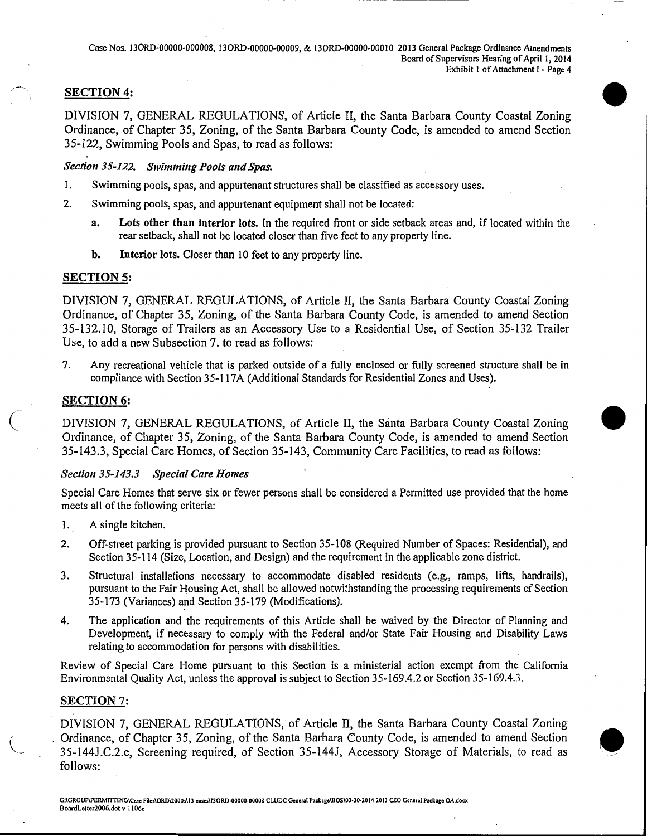•

•

**•** 

### SECTION 4:

DIVISION 7, GENERAL REGULATIONS, of Article II, the Santa Barbara County Coastal Zoning Ordinance, of Chapter 35, Zoning, of the Santa Barbara County Code, is amended to amend Section 35-122, Swimming Pools and Spas, to read as follows:

#### *Section35-122. Swimming Pools and Spas.*

- 1. Swimming pools, spas, and appurtenant structures shall be classified as accessory uses.
- 2. Swimming pools, spas, and appurtenant equipment shall not be located:
	- a. Lots other than interior lots. In the required front or side setback areas and, if located within the rear setback, shall not be located closer than five feet to any property line.
	- b. Interior lots. Closer than 10 feet to any property line.

#### SECTION 5:

DIVISION 7, GENERAL REGULATIONS, of Article II, the Santa Barbara County Coastal Zoning Ordinance, of Chapter 35, Zoning, of the Santa Barbara County Code, is amended to amend Section 35-132.10, Storage of Trailers as an Accessory Use to a Residential Use, of Section 35-132 Trailer Use, to add a new Subsection 7. to read as follows:

7. Any recreational vehicle that is parked outside of a fully enclosed or fully screened structure shall be in compliance with Section 35-117A (Additional Standards for Residential Zones and Uses).

#### SECTION 6:

 $\big($ 

DIVISION 7, GENERAL REGULATIONS, of Article II, the Santa Barbara County Coastal Zoning Ordinance, of Chapter 35, Zoning, of the Santa Barbara County Code, is amended to amend Section 35-143.3, Special Care Homes, of Section 35-143, Community Care Facilities, to read as follows:

#### *Section35-143.3 Special Care Homes*

Special Care Homes that serve six or fewer persons shall be considered a Permitted use provided that the home meets all of the following criteria:

- 1. A single kitchen.
- 2. Off-street parking is provided pursuant to Section 35-108 (Required Number of Spaces: Residential), and Section 35-114 (Size, Location, and Design) and the requirement in the applicable zone district.
- 3. Structural installations necessary to accommodate disabled residents (e.g., ramps, lifts, handrails), pursuant to the Fair Housing Act, shall be allowed notwithstanding the processing requirements of Section 35-173 (Variances) and Section 35-179 (Modifications).
- 4. The application and the requirements of this Article shall be waived by the Director of Planning and Development, if necessary to comply with the Federal and/or State Fair Housing and Disability Laws relating to accommodation for persons with disabilities.

Review of Special Care Home pursuant to this Section is a ministerial action exempt from the California Environmental Quality Act, unless the approval is subject to Section 35-169.4.2 or Section 35-169.4.3.

#### SECTION 7:

DIVISION 7, GENERAL REGULATIONS, of Article II, the Santa Barbara County Coastal Zoning Ordinance, of Chapter 35, Zoning, of the Santa Barbara County Code, is amended to amend Section 35-144J.C.2.c, Screening required, of Section 35-144J, Accessory Storage of Materials, to read as follows: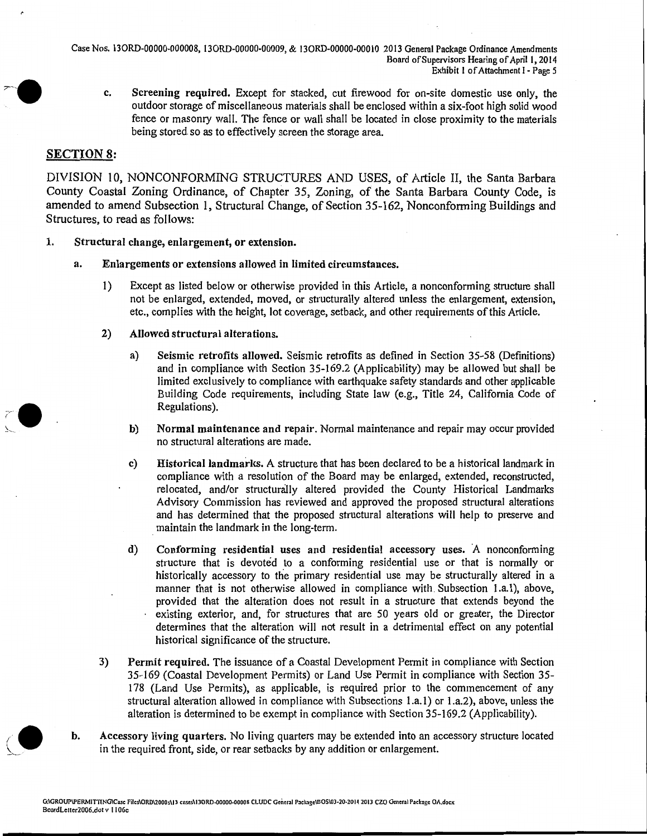Case Nos. 130RD-00000-000008, 130RD-00000-00009, & 130RD-OOOOO-OOOIO 2013 General Package Ordinance Amendments Board of Supervisors Hearing of April 1, 2014 Exhibit I of Attachment 1- Page *5* 

c. Screening required. Except for stacked, cut firewood for on-site domestic use only, the outdoor storage of miscellaneous materials shall be enclosed within a six-foot high solid wood fence or masonry wall. The fence or wall shall be located in close proximity to the materials being stored so as to effectively screen the storage area.

#### SECTION 8:

DIVISION 10, NONCONFORMING STRUCTURES AND USES, of Article II, the Santa Barbara County Coastal Zoning Ordinance, of Chapter 35, Zoning, of the Santa Barbara County Code, is amended to amend Subsection I, Structural Change, of Section 35-I62, Nonconforming Buildings and Structures, to read as follows:

- 1. Structural change, enlargement, or extension.
	- a. Enlargements or extensions allowed in limited circumstances.
		- 1) Except as listed below or otherwise provided in this Article, a nonconforming structure shall not be enlarged, extended, moved, or structurally altered unless the enlargement, extension, etc., complies with the height, lot coverage, setback, and other requirements of this Article.
		- 2) Allowed structural alterations.
			- a) Seismic retrofits allowed. Seismic retrofits as defined in Section 35-58 (Definitions) and in compliance with Section 35-169.2 (Applicability) may be allowed but shall be limited exclusively to compliance with earthquake safety standards and other applicable Building Code requirements, including State law (e.g., Title 24, California Code of Regulations).
			- b) Normal maintenance and repair. Normal maintenance and repair may occur provided no structural alterations are made.
			- c) Historicallandmarlcs. A structure that has been declared to be a historical landmark in compliance with a resolution of the Board may be enlarged, extended, reconstructed, relocated, and/or structuraJiy altered provided the County Historical Landmarks Advisory Commission has reviewed and approved the proposed structural alterations and has determined that the proposed structural alterations will help to preserve and . maintain the landmark in the long-term.
			- d) Conforming residential uses and residential accessory uses. A nonconforming structure that is devoted to a conforming residential use or that is normally or historically accessory to the primary residential use may be structurally altered in a manner that is not otherwise allowed in compliance with. Subsection 1.a.1), above, provided that the alteration does not result in a structure that extends beyond the existing exterior, and, for structures that are 50 years old or greater, the Director determines that the alteration will not result in a detrimental effect on any potential historical significance of the structure.
		- 3) Permit required. The issuance of a Coastal Development Permit in compliance with Section 35-169 (Coastal Development Permits) or Land Use Permit in compliance with Section 35- 178 (Land Use Permits), as applicable, is required prior to the commencement of any structural alteration allowed in compliance with Subsections 1.a.1) or 1.a.2), above, unless the alteration is determined to be exempt in compliance with Section 35-169.2 (Applicability).
	- b. Accessory living quarters. No living quarters may be extended into an accessory structure located in the required front, side, or rear setbacks by any addition or enlargement.



*(.* 

~--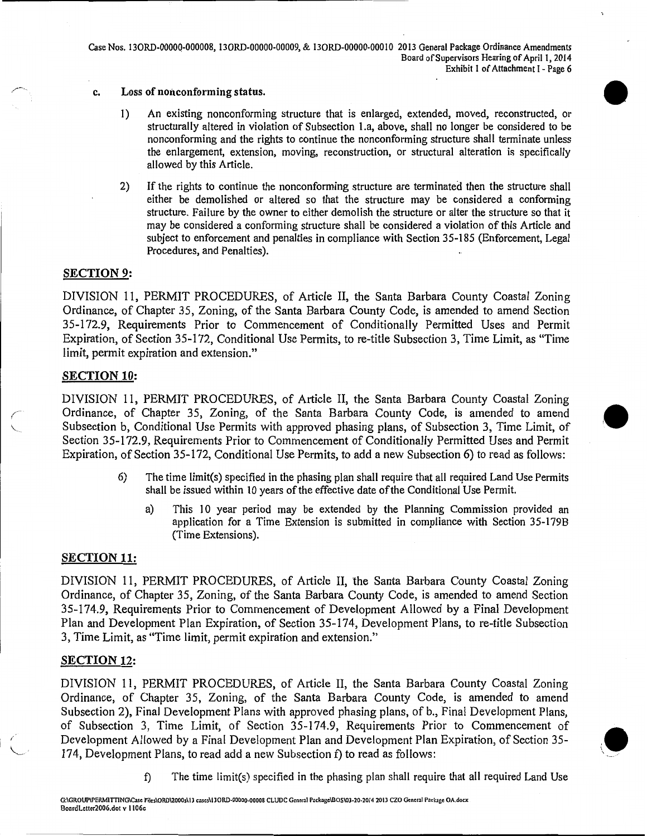Case Nos. 130RD-OOOOQ-000008, 130RD-00000-00009, & 130RD-OOOOO-OOOIO 2013 General Package Ordinance Amendments Board of Supervisors Hearing of April 1, 2014 Exhibit I of Attachment I - Page 6

- c. Loss of nonconforming status.
	- I) An existing nonconforming structure that is enlarged, extended, moved, reconstructed, or structurally altered in violation of Subsection l.a, above, shall no longer be considered to be nonconforming and the rights to continue the nonconforming structure shall terminate unless the enlargement, extension, moving, reconstruction, or structural alteration is specifically allowed by this Article.
	- 2) If the rights to continue the nonconforming structure are terminated then the structure shall either be demolished or altered so that the structure may be considered a conforming structure. Failure by the owner to either demolish the structure or alter the structure so that it may be considered a conforming structure shall be considered a violation of this Article and subject to enforcement and penalties in compliance with Section 35-185 (Enforcement, Legal Procedures, and Penalties).

#### SECTION 9:

DIVISION 11, PERMIT PROCEDURES, of Article II, the Santa Barbara County Coastal Zoning Ordinance, of Chapter 35, Zoning, of the Santa Barbara County Code, is amended to amend Section 35-172.9, Requirements Prior to Commencement of Conditionally Permitted Uses and Permit Expiration, of Section 35-172, Conditional Use Permits, to re-title Subsection 3, Time Limit, as "Time limit, permit expiration and extension."

#### SECTION 10:

DIVISION 11, PERMIT PROCEDURES, of Article II, the Santa Barbara County Coastal Zoning Ordinance, of Chapter 35, Zoning, of the Santa Barbara County Code, is amended to amend Subsection b, Conditional Use Permits with approved phasing plans, of Subsection 3, Time Limit, of Section 35-172.9, Requirements Prior to Commencement of Conditionally Permitted Uses and Permit Expiration, of Section 35-172, Conditional Use Permits, to add a new Subsection 6) to read as follows:

- 6) The time limit(s) specified in the phasing plan shall require that all required Land Use Permits shall be issued within 10 years of the effective date of the Conditional Use Permit.
	- a) This 10 year period may be extended by the Planning Commission provided an application for a Time Extension is submitted in compliance with Section 35-1798 (Time Extensions).

#### SECTION 11:

DIVISION 11, PERMIT PROCEDURES, of Article II, the Santa Barbara County Coastal Zoning Ordinance, of Chapter 35, Zoning, of the Santa Barbara County Code, is amended to amend Section 35-174.9, Requirements Prior to Commencement of Development Allowed by a Final Development Plan and Development Plan Expiration, of Section 35-174, Development Plans, to re-title Subsection 3, Time Limit, as "Time limit, permit expiration and extension."

#### SECTION 12:

 $\overline{a}$ "----·. DIVISION II, PERMIT PROCEDURES, of Article II, the Santa Barbara County Coastal Zoning Ordinance, of Chapter 35, Zoning, of the Santa Barbara County Code, is amended to amend Subsection 2), Final Development Plans with approved phasing plans, of b., Final Development Plans, of Subsection 3, Time Limit, of Section 35-174.9, Requirements Prior to Commencement of Development Allowed by a Final Development Plan and Development Plan Expiration, of Section 35- 174, Development Plans, to read add a new Subsection f) to read as follows:



•

f) The time limit(s) specified in the phasing plan shall require that all required Land Use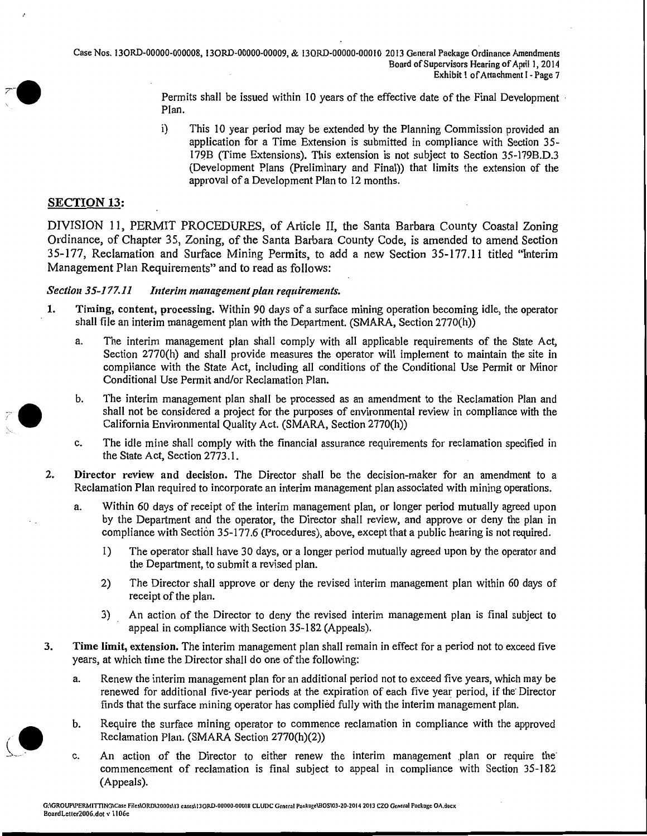Case Nos. 130RD-00000-000008, 130RD-00000-00009, & 130RD-OOOOO-OOOIO 2013 General Package Ordinance Amendments Board of Supervisors Hearing of April 1, 2014 Exhibit I of Attachment I • Page 7

> Permits shall be issued within 10 years of the effective date of the Final Development  $\cdot$ Plan.

> i) This 10 year period may be extended by the Planning Commission provided an application for a Time Extension is submitted in compliance with Section 35- I79B (Time Extensions). This extension is not subject to Section 35-179B.D.3 (Development Plans (Preliminary and Final)) that limits the extension of the approval of a Development Plan to 12 months.

#### SECTION 13:

DIVISION 11, PERMIT PROCEDURES, of Article II, the Santa Barbara County Coastal Zoning Ordinance, of Chapter 35, Zoning, of the Santa Barbara County Code, is amended to amend Section 35-177, Reclamation and Surface Mining Permits, to add a new Section 35-177.11 titled "Interim Management Plan Requirements" and to read as follows:

#### *Section35-177.11 Interim management plan requirements.*

- 1. Timing, content, processing. Within 90 days of a surface mining operation becoming idle, the operator shall file an interim management plan with the Department. (SMARA, Section 2770(h))
	- a. The interim management plan shall comply with all applicable requirements of the State Act, Section 2770(h) and shall provide measures the operator will implement to maintain the site in compliance with the State Act, including all conditions of the Conditional Use Permit or Minor Conditional Use Permit and/or Reclamation Plan.
	- b. The interim management plan shall be processed as an amendment to the Reclamation Plan and shall not be considered a project for the purposes of environmental review in compliance with the California Environmental Quality Act. (SMARA, Section 2770(h))
	- c. The idle mine shall comply with the financial assurance requirements for reclamation specified in the State Act, Section 2773.1.
- 2. Director review and decision. The Director shall be the decision-maker for an amendment to a Reclamation Plan required to incorporate an interim management plan associated with mining operations.
	- a. Within 60 days of receipt of the interim management plan, or longer period mutually agreed upon by the Department and the operator, the Director shall review, and approve or deny the plan in compliance with Section 35-I 77.6 (Procedures), above, except that a public hearing is not required.
		- 1) The operator shall have 30 days, or a longer period mutually agreed upon by the operator and the Department, to submit a revised plan.
		- 2) The Director shall approve or deny the revised interim management plan within 60 days of receipt of the plan.
		- 3) An action of the Director to deny the revised interim management plan is final subject to appeal in compliance with Section 35-182 (Appeals).
- 3. Time limit, extension. The interim management plan shall remain in effect for a period not to exceed five years, at which time the Director shall do one of the following:
	- a. Renew the interim management plan for an additional period not to exceed five years, which may be renewed for additional five-year periods at the expiration of each five year period, if the Director finds that the surface mining operator has complied fully with the interim management plan.
	- b. Require the surface mining operator to commence reclamation in compliance with the approved Reclamation Plan. (SMARA Section 2770(h)(2))
	- c. An action of the Director to either renew the interim management plan or require the commencement of reclamation is final subject to appeal in compliance with Section 35-182 (Appeals).

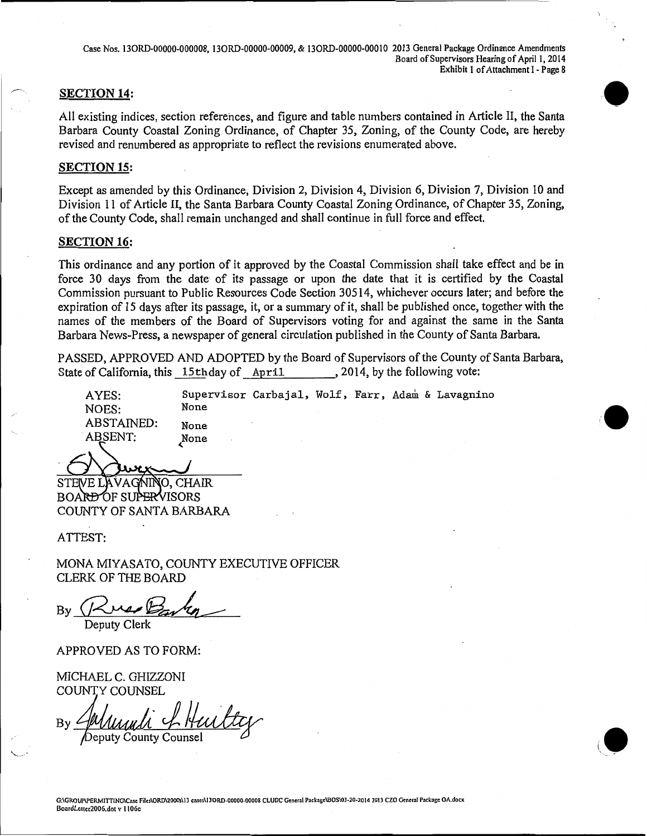Case Nos. 130RD-00000-000008, 130RD-00000-00009, & 130RD-OOOOO-OOOIO 2013 General Package Ordinance Amendments Board of Supervisors Hearing of April 1, 2014 Exhibit I of Attachment I - Page 8

#### **SECTION 14:**

All existing indices, section references, and figure and table numbers contained in Article II, the Santa Barbara County Coastal Zoning Ordinance, of Chapter 35, Zoning, of the County Code, are hereby revised and renumbered as appropriate to reflect the revisions enumerated above.

#### **SECTION 15:**

Except as amended by this Ordinance, Division 2, Division 4, Division 6, Division 7, Division 10 and Division 11 of Article II, the Santa Barbara County Coastal Zoning Ordinance, of Chapter 35, Zoning, of the County Code, shall remain unchanged and shall continue in full force and effect.

#### **SECTION 16:**

This ordinance and any portion of it approved by the Coastal Commission shall take effect and be in force 30 days from the date of its passage or upon the date that it is certified by the Coastal Commission pursuant to Public Resources Code Section 30514, whichever occurs later; and before the expiration of 15 days after its passage, it, or a summary of it, shall be published once, together with the names of the members of the Board of Supervisors voting for and against the same in the Santa Barbara News-Press, a newspaper of general circulation published in the County of Santa Barbara.

PASSED, APPROVED AND ADOPTED by the Board of Supervisors of the County of Santa Barbara,<br>State of California, this 15thday of April . 2014, by the following vote: State of California, this 15th day of April

Supervisor Carbajal, Wolf, Farr, Adam & Lavagnino

·•

AYES: NOES: ABSTAINED: .ABSENT:

None None None (,

STEVE LAVAGNINO, CHAIR **BOARD OF SUPERVISORS** COUNTY OF SANTA BARBARA

ATTEST:

MONA MIYASATO, COUNTY EXECUTIVE OFFICER CLERK OF THE BOARD

By Russ Barry

APPROVED AS TO FORM:

MICHAEL C. GHIZZONI COUNTY COUNSEL

Deputy County Counse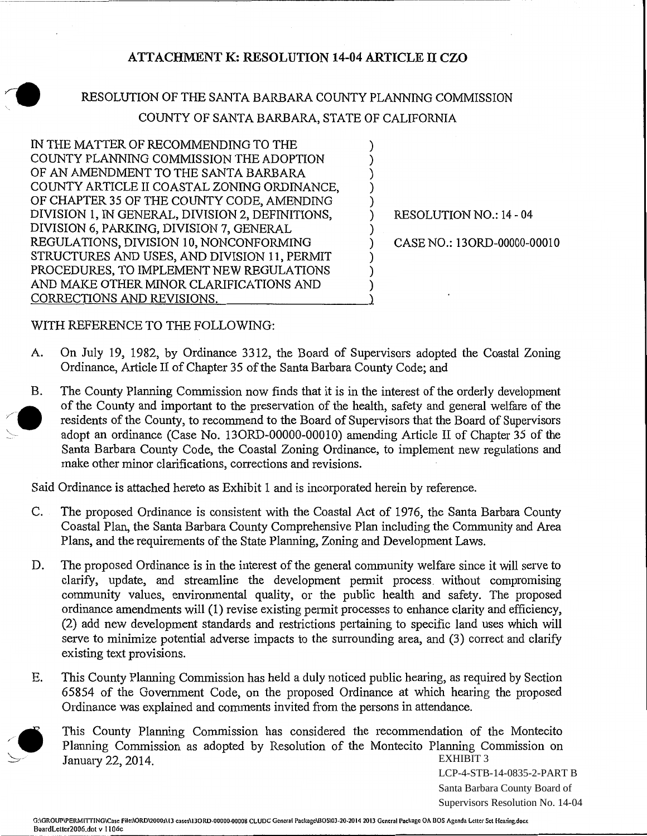## **ATTACHMENT K: RESOLUTION 14-04 ARTICLE II CZO**

--------~~~-~------~-------------------------------,

) ) ) ) )

)

) ) ) )

## RESOLUTION OF THE SANTA BARBARA COUNTY PLANNING COMMISSION COUNTY OF SANTA BARBARA, STATE OF CALIFORNIA

IN THE MATTER OF RECOMMENDING TO THE COUNTY PLANNING COMMISSION THE ADOPTION OF AN AMENDMENT TO THE SANTA BARBARA COUNTY ARTICLE II COASTAL ZONING ORDINANCE, OF CHAPTER 35 OF THE COUNTY CODE, AMENDING DIVISION 1, IN GENERAL, DIVISION 2, DEFINITIONS, DIVISION 6, PARKING, DIVISION 7, GENERAL REGULATIONS, DIVISION 10, NONCONFORMING STRUCTURES AND USES, AND DIVISION 11, PERMIT PROCEDURES, TO IMPLEMENT NEW REGULATIONS AND MAKE OTHER MINOR CLARIFICATIONS AND CORRECTIONS AND REVISIONS.

) RESOLUTION NO.: 14 ~ 04

) CASE NO.: 130RD~OOOOO~OOOIO

WITH REFERENCE TO THE FOLLOWING:

- A. On July 19, 1982, by Ordinance 3312, the Board of Supervisors adopted the Coastal Zoning Ordinance, Article II of Chapter 35 of the Santa Barbara County Code; and
- B. The County Planning Commission now finds that it is in the interest of the orderly development of the County and important to the preservation of the health, safety and general welfare of the residents of the County, to recommend to the Board of Supervisors that the Board of Supervisors adopt an ordinance (Case No. 130RD-00000~00010) amending Article II of Chapter 35 of the Santa Barbara County Code, the Coastal Zoning Ordinance, to implement new regulations and make other minor clarifications, corrections and revisions.

Said Ordinance is attached hereto as Exhibit 1 and is incorporated herein by reference.

- C. The proposed Ordinance is consistent with the Coastal Act of 1976, the Santa Barbara County Coastal Plan, the Santa Barbara County Comprehensive Plan including the Community and Area Plans, and the requirements of the State Planning, Zoning and Development Laws.
- D. The proposed Ordinance is in the interest of the general community welfare since it will serve to clarify, update, and streamline the development permit process. without compromising community values, environmental quality, or the public health and safety. The proposed ordinance amendments will (1) revise existing permit processes to enhance clarity and efficiency, (2) add new development standards and restrictions pertaining to specific land uses which will serve to minimize potential adverse impacts to the surrounding area, and (3) correct and clarify existing text provisions.
- E. This County Planning Commission has held a duly noticed public hearing, as required by Section 65854 of the Government Code, on the proposed Ordinance at which hearing the proposed Ordinance was explained and comments invited from the persons in attendance.

This County Planning Commission has considered the recommendation of the Montecito Planning Commission as adopted by Resolution of the Montecito Planning Commission on January 22, 2014. EXHIBIT 3

LCP-4-STB-14-0835-2-PART B Santa Barbara County Board of Supervisors Resolution No. 14-04